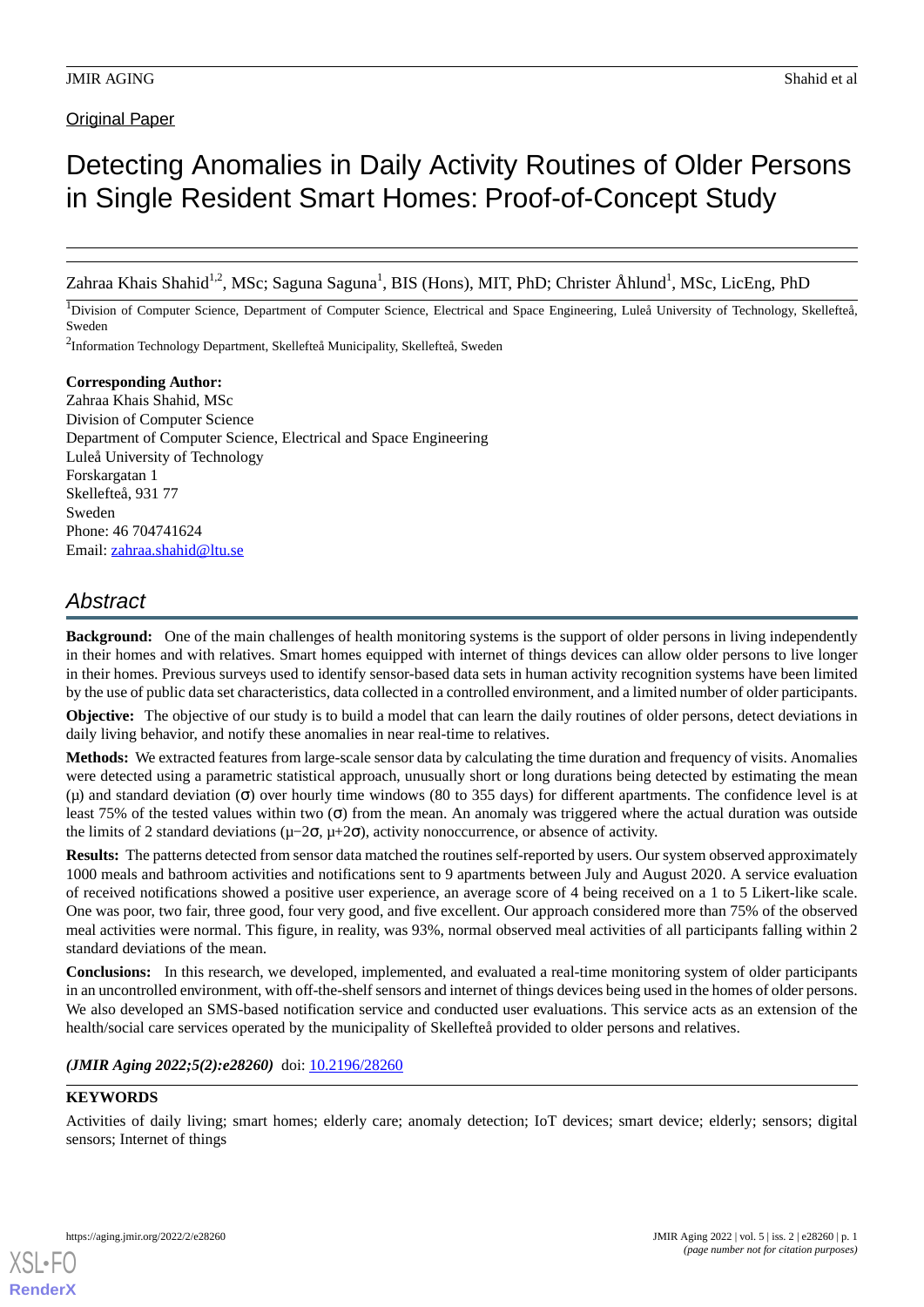# **Original Paper**

# Detecting Anomalies in Daily Activity Routines of Older Persons in Single Resident Smart Homes: Proof-of-Concept Study

Zahraa Khais Shahid<sup>1,2</sup>, MSc; Saguna Saguna<sup>1</sup>, BIS (Hons), MIT, PhD; Christer Åhlund<sup>1</sup>, MSc, LicEng, PhD

<sup>1</sup>Division of Computer Science, Department of Computer Science, Electrical and Space Engineering, Luleå University of Technology, Skellefteå, Sweden

<sup>2</sup>Information Technology Department, Skellefteå Municipality, Skellefteå, Sweden

## **Corresponding Author:** Zahraa Khais Shahid, MSc Division of Computer Science Department of Computer Science, Electrical and Space Engineering Luleå University of Technology Forskargatan 1 Skellefteå, 931 77 Sweden Phone: 46 704741624 Email: [zahraa.shahid@ltu.se](mailto:zahraa.shahid@ltu.se)

# *Abstract*

**Background:** One of the main challenges of health monitoring systems is the support of older persons in living independently in their homes and with relatives. Smart homes equipped with internet of things devices can allow older persons to live longer in their homes. Previous surveys used to identify sensor-based data sets in human activity recognition systems have been limited by the use of public data set characteristics, data collected in a controlled environment, and a limited number of older participants.

**Objective:** The objective of our study is to build a model that can learn the daily routines of older persons, detect deviations in daily living behavior, and notify these anomalies in near real-time to relatives.

**Methods:** We extracted features from large-scale sensor data by calculating the time duration and frequency of visits. Anomalies were detected using a parametric statistical approach, unusually short or long durations being detected by estimating the mean (μ) and standard deviation (σ) over hourly time windows (80 to 355 days) for different apartments. The confidence level is at least 75% of the tested values within two (σ) from the mean. An anomaly was triggered where the actual duration was outside the limits of 2 standard deviations ( $\mu$ -2 $\sigma$ ,  $\mu$ +2 $\sigma$ ), activity nonoccurrence, or absence of activity.

**Results:** The patterns detected from sensor data matched the routines self-reported by users. Our system observed approximately 1000 meals and bathroom activities and notifications sent to 9 apartments between July and August 2020. A service evaluation of received notifications showed a positive user experience, an average score of 4 being received on a 1 to 5 Likert-like scale. One was poor, two fair, three good, four very good, and five excellent. Our approach considered more than 75% of the observed meal activities were normal. This figure, in reality, was 93%, normal observed meal activities of all participants falling within 2 standard deviations of the mean.

**Conclusions:** In this research, we developed, implemented, and evaluated a real-time monitoring system of older participants in an uncontrolled environment, with off-the-shelf sensors and internet of things devices being used in the homes of older persons. We also developed an SMS-based notification service and conducted user evaluations. This service acts as an extension of the health/social care services operated by the municipality of Skellefteå provided to older persons and relatives.

*(JMIR Aging 2022;5(2):e28260)* doi:  $10.2196/28260$ 

# **KEYWORDS**

Activities of daily living; smart homes; elderly care; anomaly detection; IoT devices; smart device; elderly; sensors; digital sensors; Internet of things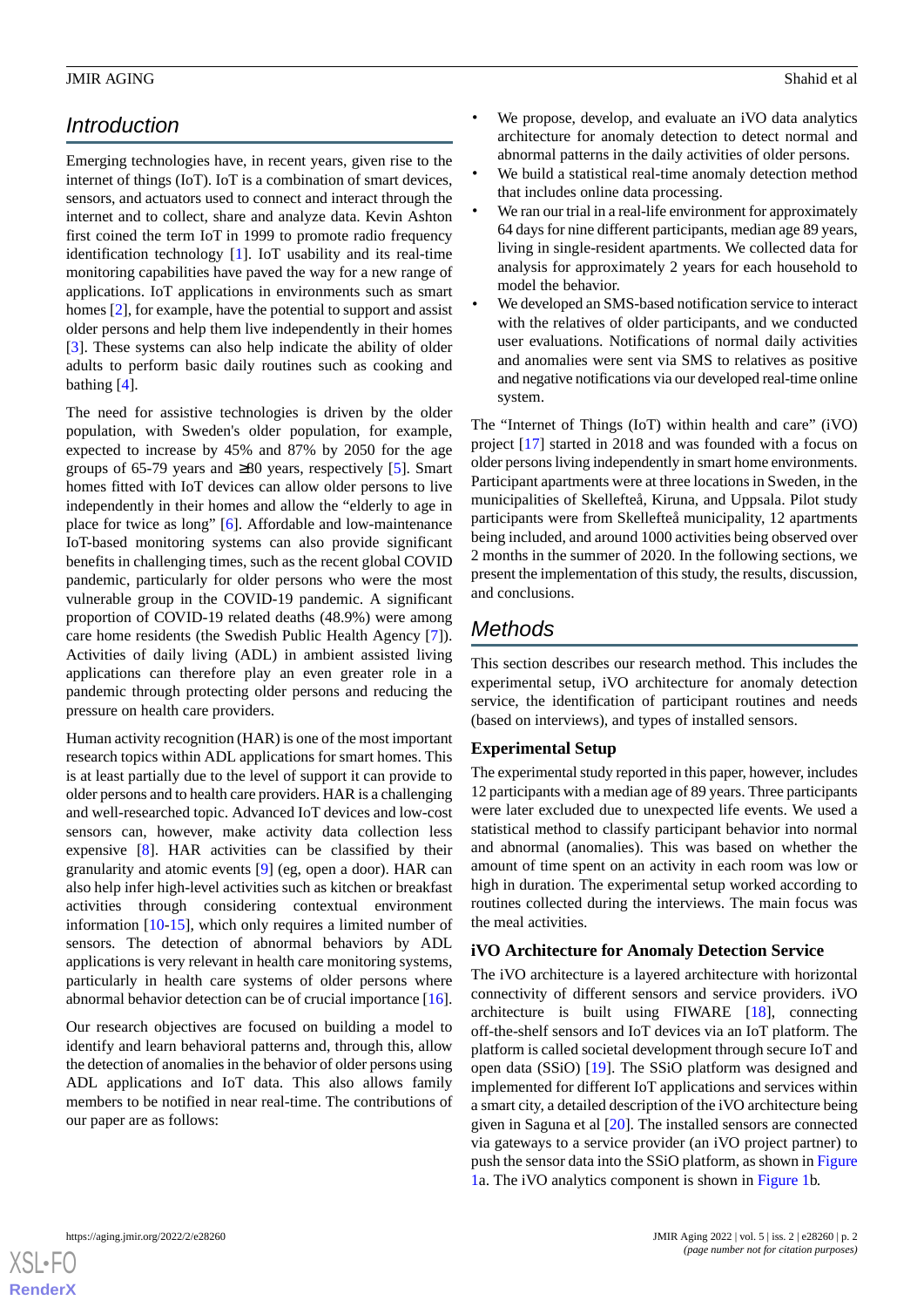# *Introduction*

Emerging technologies have, in recent years, given rise to the internet of things (IoT). IoT is a combination of smart devices, sensors, and actuators used to connect and interact through the internet and to collect, share and analyze data. Kevin Ashton first coined the term IoT in 1999 to promote radio frequency identification technology [[1\]](#page-14-0). IoT usability and its real-time monitoring capabilities have paved the way for a new range of applications. IoT applications in environments such as smart homes [\[2](#page-14-1)], for example, have the potential to support and assist older persons and help them live independently in their homes [[3\]](#page-14-2). These systems can also help indicate the ability of older adults to perform basic daily routines such as cooking and bathing [\[4](#page-14-3)].

The need for assistive technologies is driven by the older population, with Sweden's older population, for example, expected to increase by 45% and 87% by 2050 for the age groups of 65-79 years and  $\geq 80$  years, respectively [[5\]](#page-14-4). Smart homes fitted with IoT devices can allow older persons to live independently in their homes and allow the "elderly to age in place for twice as long" [\[6](#page-14-5)]. Affordable and low-maintenance IoT-based monitoring systems can also provide significant benefits in challenging times, such as the recent global COVID pandemic, particularly for older persons who were the most vulnerable group in the COVID-19 pandemic. A significant proportion of COVID-19 related deaths (48.9%) were among care home residents (the Swedish Public Health Agency [[7](#page-14-6)]). Activities of daily living (ADL) in ambient assisted living applications can therefore play an even greater role in a pandemic through protecting older persons and reducing the pressure on health care providers.

Human activity recognition (HAR) is one of the most important research topics within ADL applications for smart homes. This is at least partially due to the level of support it can provide to older persons and to health care providers. HAR is a challenging and well-researched topic. Advanced IoT devices and low-cost sensors can, however, make activity data collection less expensive [[8](#page-14-7)]. HAR activities can be classified by their granularity and atomic events [[9\]](#page-14-8) (eg, open a door). HAR can also help infer high-level activities such as kitchen or breakfast activities through considering contextual environment information [[10](#page-14-9)[-15](#page-15-0)], which only requires a limited number of sensors. The detection of abnormal behaviors by ADL applications is very relevant in health care monitoring systems, particularly in health care systems of older persons where abnormal behavior detection can be of crucial importance [[16\]](#page-15-1).

Our research objectives are focused on building a model to identify and learn behavioral patterns and, through this, allow the detection of anomalies in the behavior of older persons using ADL applications and IoT data. This also allows family members to be notified in near real-time. The contributions of our paper are as follows:

- We propose, develop, and evaluate an iVO data analytics architecture for anomaly detection to detect normal and abnormal patterns in the daily activities of older persons.
- We build a statistical real-time anomaly detection method that includes online data processing.
- We ran our trial in a real-life environment for approximately 64 days for nine different participants, median age 89 years, living in single-resident apartments. We collected data for analysis for approximately 2 years for each household to model the behavior.
- We developed an SMS-based notification service to interact with the relatives of older participants, and we conducted user evaluations. Notifications of normal daily activities and anomalies were sent via SMS to relatives as positive and negative notifications via our developed real-time online system.

The "Internet of Things (IoT) within health and care" (iVO) project [[17\]](#page-15-2) started in 2018 and was founded with a focus on older persons living independently in smart home environments. Participant apartments were at three locations in Sweden, in the municipalities of Skellefteå, Kiruna, and Uppsala. Pilot study participants were from Skellefteå municipality, 12 apartments being included, and around 1000 activities being observed over 2 months in the summer of 2020. In the following sections, we present the implementation of this study, the results, discussion, and conclusions.

# *Methods*

This section describes our research method. This includes the experimental setup, iVO architecture for anomaly detection service, the identification of participant routines and needs (based on interviews), and types of installed sensors.

# **Experimental Setup**

The experimental study reported in this paper, however, includes 12 participants with a median age of 89 years. Three participants were later excluded due to unexpected life events. We used a statistical method to classify participant behavior into normal and abnormal (anomalies). This was based on whether the amount of time spent on an activity in each room was low or high in duration. The experimental setup worked according to routines collected during the interviews. The main focus was the meal activities.

# **iVO Architecture for Anomaly Detection Service**

The iVO architecture is a layered architecture with horizontal connectivity of different sensors and service providers. iVO architecture is built using FIWARE [[18\]](#page-15-3), connecting off-the-shelf sensors and IoT devices via an IoT platform. The platform is called societal development through secure IoT and open data (SSiO) [[19\]](#page-15-4). The SSiO platform was designed and implemented for different IoT applications and services within a smart city, a detailed description of the iVO architecture being given in Saguna et al [[20\]](#page-15-5). The installed sensors are connected via gateways to a service provider (an iVO project partner) to push the sensor data into the SSiO platform, as shown in [Figure](#page-2-0) [1a](#page-2-0). The iVO analytics component is shown in [Figure 1b](#page-2-0).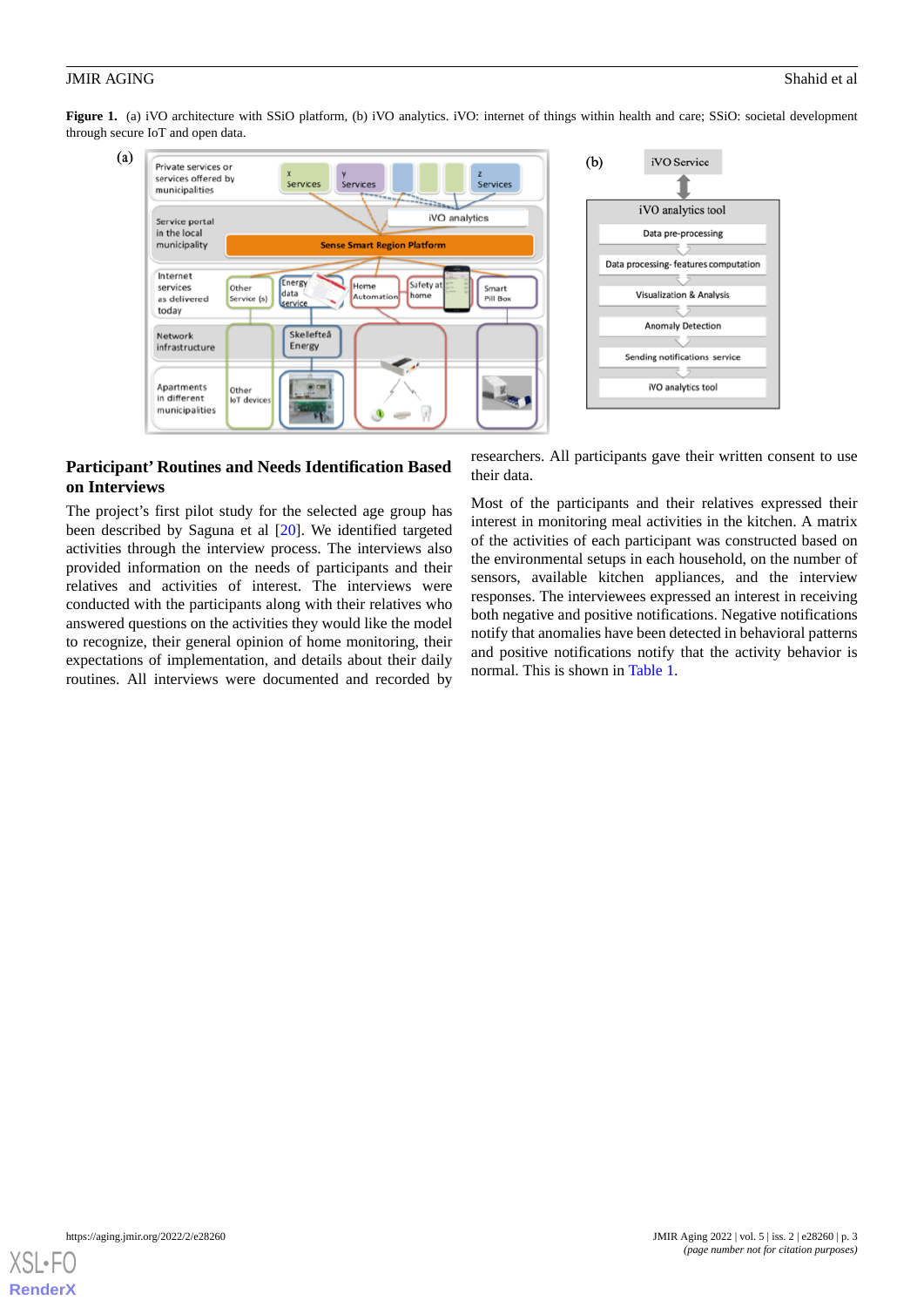<span id="page-2-0"></span>**Figure 1.** (a) iVO architecture with SSiO platform, (b) iVO analytics. iVO: internet of things within health and care; SSiO: societal development through secure IoT and open data.



## **Participant' Routines and Needs Identification Based on Interviews**

The project's first pilot study for the selected age group has been described by Saguna et al [[20\]](#page-15-5). We identified targeted activities through the interview process. The interviews also provided information on the needs of participants and their relatives and activities of interest. The interviews were conducted with the participants along with their relatives who answered questions on the activities they would like the model to recognize, their general opinion of home monitoring, their expectations of implementation, and details about their daily routines. All interviews were documented and recorded by

researchers. All participants gave their written consent to use their data.

Most of the participants and their relatives expressed their interest in monitoring meal activities in the kitchen. A matrix of the activities of each participant was constructed based on the environmental setups in each household, on the number of sensors, available kitchen appliances, and the interview responses. The interviewees expressed an interest in receiving both negative and positive notifications. Negative notifications notify that anomalies have been detected in behavioral patterns and positive notifications notify that the activity behavior is normal. This is shown in [Table 1](#page-3-0).

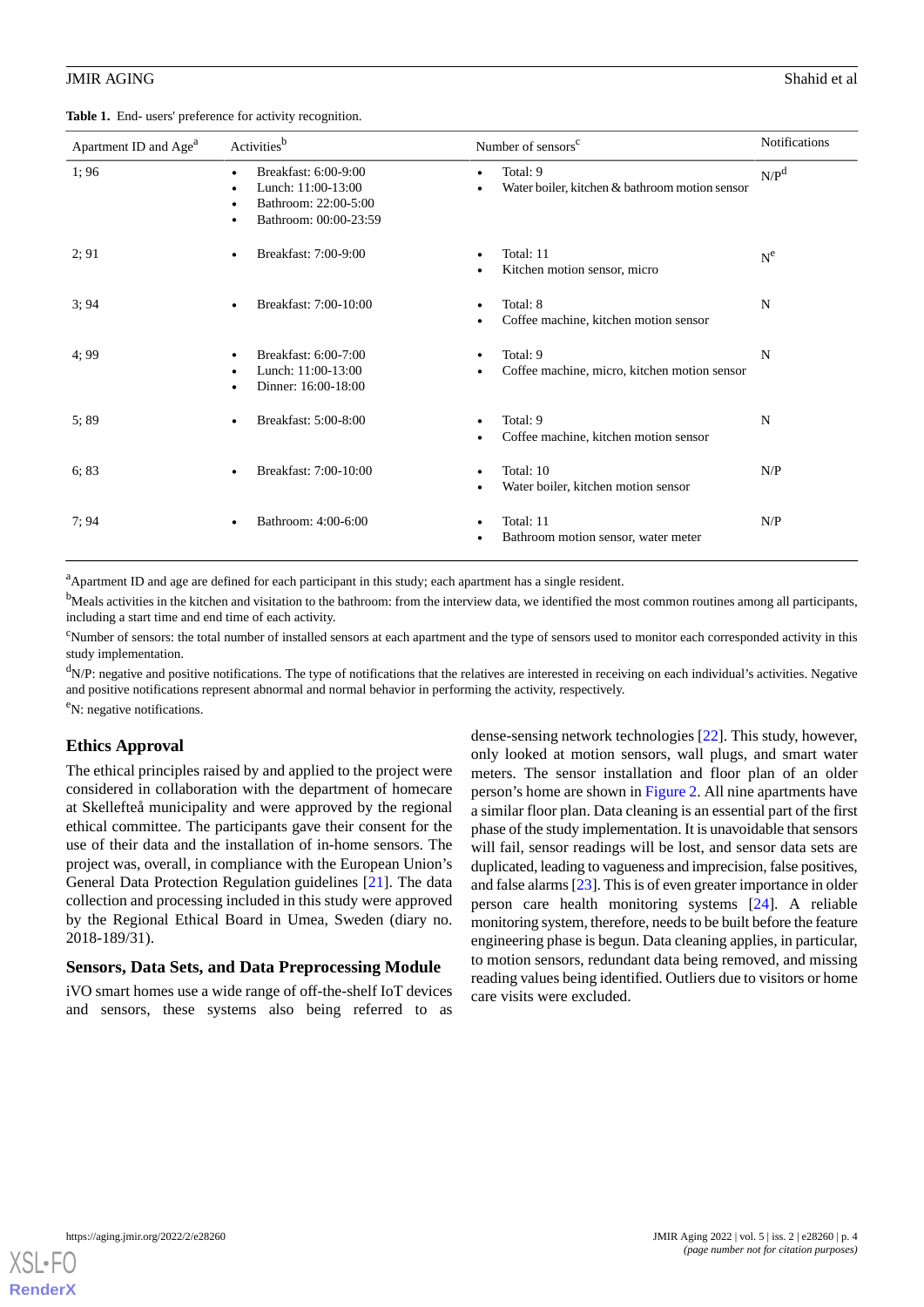<span id="page-3-0"></span>

|  |  | Table 1. End- users' preference for activity recognition. |  |  |
|--|--|-----------------------------------------------------------|--|--|
|--|--|-----------------------------------------------------------|--|--|

| Apartment ID and Age <sup>a</sup> | Activities <sup>b</sup>                                                                     | Number of sensors <sup>c</sup>                             | Notifications |
|-----------------------------------|---------------------------------------------------------------------------------------------|------------------------------------------------------------|---------------|
| 1;96                              | Breakfast: 6:00-9:00<br>Lunch: 11:00-13:00<br>Bathroom: 22:00-5:00<br>Bathroom: 00:00-23:59 | Total: 9<br>Water boiler, kitchen & bathroom motion sensor | $N/P^d$       |
| 2; 91                             | Breakfast: 7:00-9:00                                                                        | Total: 11<br>Kitchen motion sensor, micro                  | $N^{e}$       |
| 3:94                              | Breakfast: 7:00-10:00                                                                       | Total: 8<br>Coffee machine, kitchen motion sensor          | N             |
| 4;99                              | Breakfast: 6:00-7:00<br>Lunch: 11:00-13:00<br>Dinner: 16:00-18:00                           | Total: 9<br>Coffee machine, micro, kitchen motion sensor   | N             |
| 5;89                              | Breakfast: 5:00-8:00                                                                        | Total: 9<br>Coffee machine, kitchen motion sensor          | N             |
| 6; 83                             | Breakfast: 7:00-10:00                                                                       | Total: 10<br>Water boiler, kitchen motion sensor           | N/P           |
| 7:94                              | Bathroom: 4:00-6:00                                                                         | Total: 11<br>Bathroom motion sensor, water meter           | N/P           |

<sup>a</sup>Apartment ID and age are defined for each participant in this study; each apartment has a single resident.

 $<sup>b</sup>$ Meals activities in the kitchen and visitation to the bathroom: from the interview data, we identified the most common routines among all participants,</sup> including a start time and end time of each activity.

<sup>c</sup>Number of sensors: the total number of installed sensors at each apartment and the type of sensors used to monitor each corresponded activity in this study implementation.

<sup>d</sup>N/P: negative and positive notifications. The type of notifications that the relatives are interested in receiving on each individual's activities. Negative and positive notifications represent abnormal and normal behavior in performing the activity, respectively.

<sup>e</sup>N: negative notifications.

## **Ethics Approval**

The ethical principles raised by and applied to the project were considered in collaboration with the department of homecare at Skellefteå municipality and were approved by the regional ethical committee. The participants gave their consent for the use of their data and the installation of in-home sensors. The project was, overall, in compliance with the European Union's General Data Protection Regulation guidelines [\[21](#page-15-6)]. The data collection and processing included in this study were approved by the Regional Ethical Board in Umea, Sweden (diary no. 2018-189/31).

#### **Sensors, Data Sets, and Data Preprocessing Module**

iVO smart homes use a wide range of off-the-shelf IoT devices and sensors, these systems also being referred to as

dense-sensing network technologies [\[22](#page-15-7)]. This study, however, only looked at motion sensors, wall plugs, and smart water meters. The sensor installation and floor plan of an older person's home are shown in [Figure 2](#page-4-0). All nine apartments have a similar floor plan. Data cleaning is an essential part of the first phase of the study implementation. It is unavoidable that sensors will fail, sensor readings will be lost, and sensor data sets are duplicated, leading to vagueness and imprecision, false positives, and false alarms [[23\]](#page-15-8). This is of even greater importance in older person care health monitoring systems [[24\]](#page-15-9). A reliable monitoring system, therefore, needs to be built before the feature engineering phase is begun. Data cleaning applies, in particular, to motion sensors, redundant data being removed, and missing reading values being identified. Outliers due to visitors or home care visits were excluded.

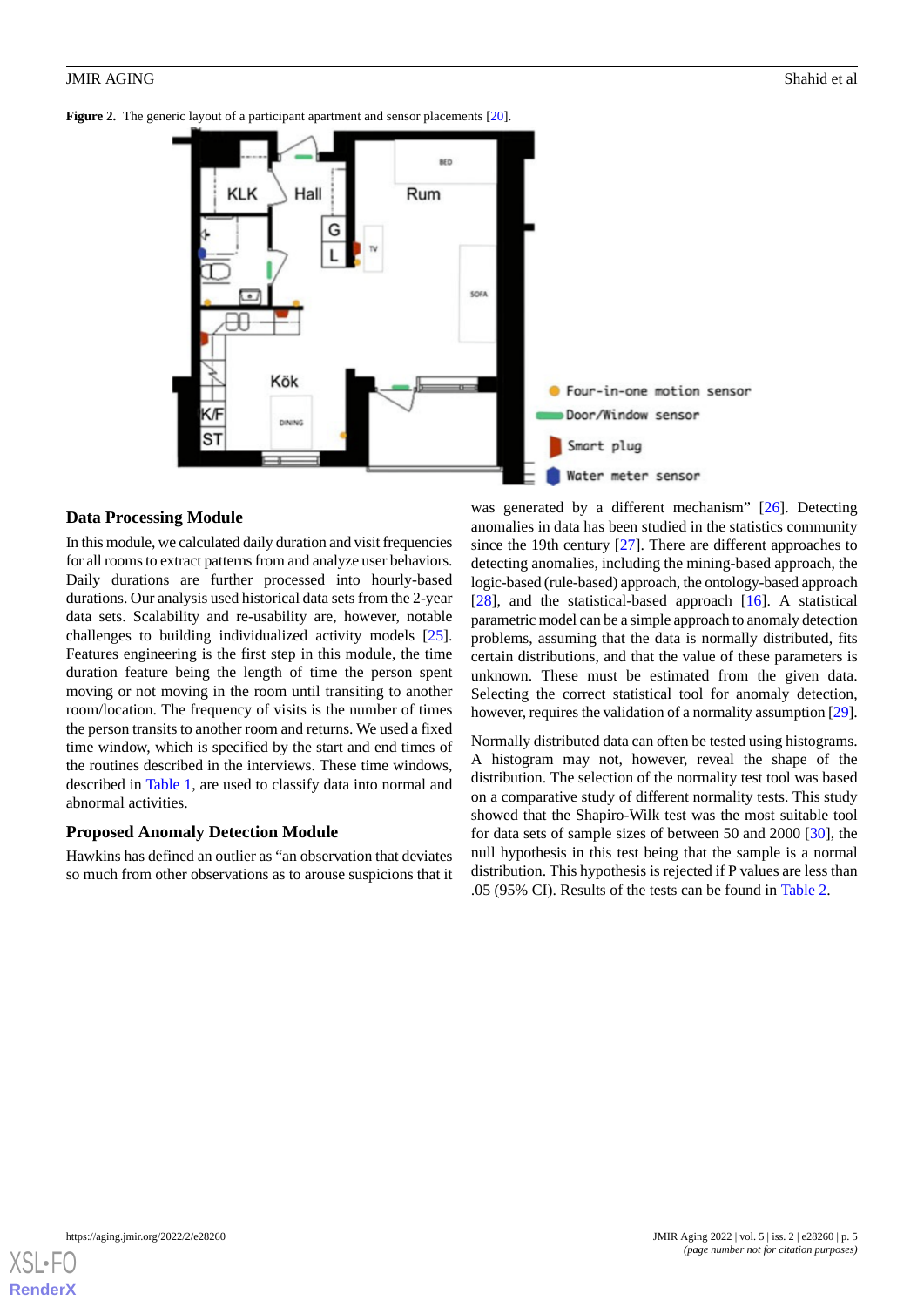<span id="page-4-0"></span>**Figure 2.** The generic layout of a participant apartment and sensor placements [\[20\]](#page-15-5).



## **Data Processing Module**

In this module, we calculated daily duration and visit frequencies for all rooms to extract patterns from and analyze user behaviors. Daily durations are further processed into hourly-based durations. Our analysis used historical data sets from the 2-year data sets. Scalability and re-usability are, however, notable challenges to building individualized activity models [[25\]](#page-15-10). Features engineering is the first step in this module, the time duration feature being the length of time the person spent moving or not moving in the room until transiting to another room/location. The frequency of visits is the number of times the person transits to another room and returns. We used a fixed time window, which is specified by the start and end times of the routines described in the interviews. These time windows, described in [Table 1,](#page-3-0) are used to classify data into normal and abnormal activities.

#### **Proposed Anomaly Detection Module**

Hawkins has defined an outlier as "an observation that deviates so much from other observations as to arouse suspicions that it

was generated by a different mechanism" [[26\]](#page-15-11). Detecting anomalies in data has been studied in the statistics community since the 19th century [[27\]](#page-15-12). There are different approaches to detecting anomalies, including the mining-based approach, the logic-based (rule-based) approach, the ontology-based approach [[28\]](#page-15-13), and the statistical-based approach [[16\]](#page-15-1). A statistical parametric model can be a simple approach to anomaly detection problems, assuming that the data is normally distributed, fits certain distributions, and that the value of these parameters is unknown. These must be estimated from the given data. Selecting the correct statistical tool for anomaly detection, however, requires the validation of a normality assumption [\[29](#page-15-14)].

Normally distributed data can often be tested using histograms. A histogram may not, however, reveal the shape of the distribution. The selection of the normality test tool was based on a comparative study of different normality tests. This study showed that the Shapiro-Wilk test was the most suitable tool for data sets of sample sizes of between 50 and 2000 [\[30](#page-15-15)], the null hypothesis in this test being that the sample is a normal distribution. This hypothesis is rejected if P values are less than .05 (95% CI). Results of the tests can be found in [Table 2.](#page-5-0)

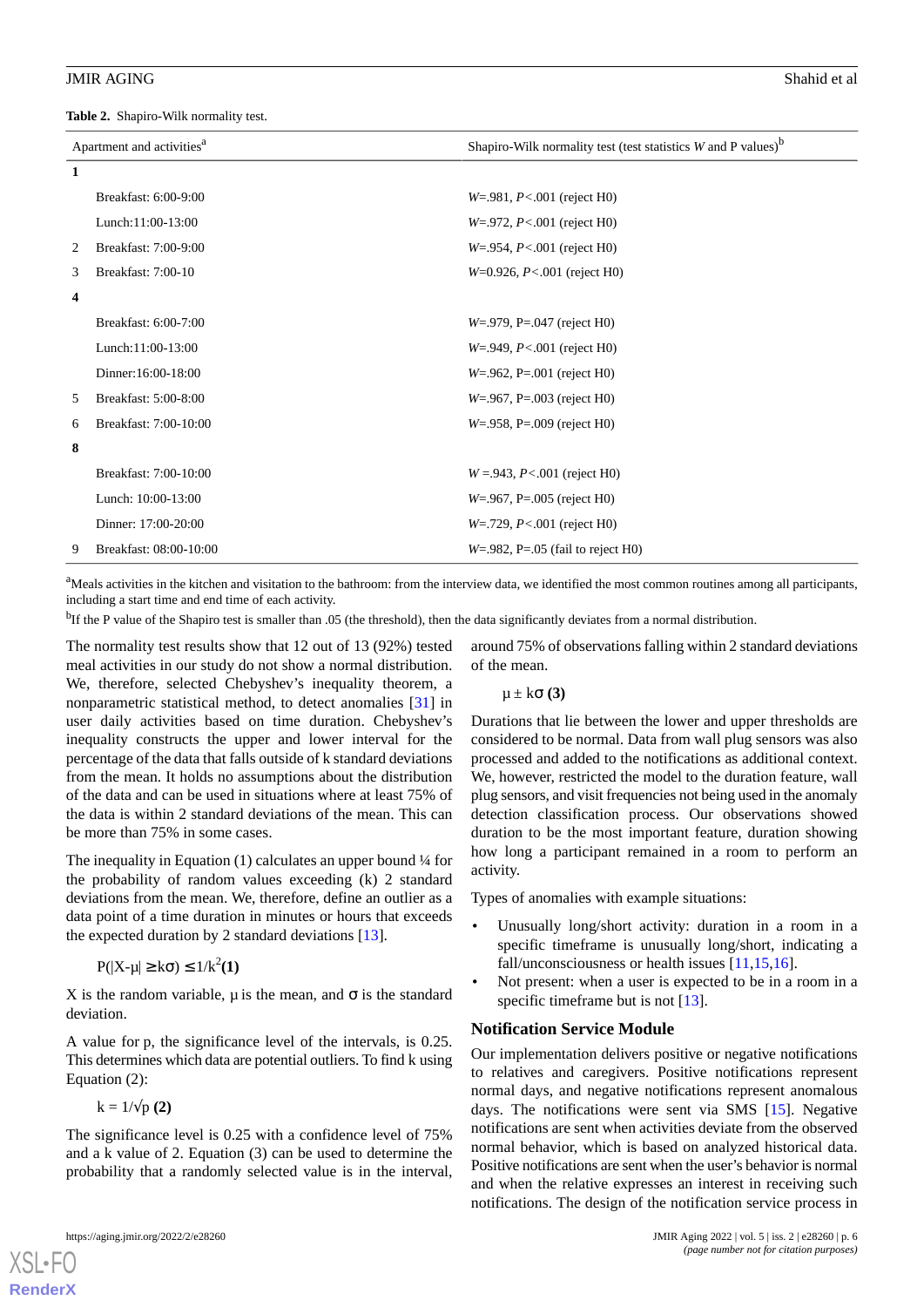<span id="page-5-0"></span>**Table 2.** Shapiro-Wilk normality test.

| Apartment and activities <sup>a</sup> |                        | Shapiro-Wilk normality test (test statistics $W$ and P values) <sup>b</sup> |  |  |
|---------------------------------------|------------------------|-----------------------------------------------------------------------------|--|--|
| $\mathbf{1}$                          |                        |                                                                             |  |  |
|                                       | Breakfast: 6:00-9:00   | $W = 981, P < .001$ (reject H0)                                             |  |  |
|                                       | Lunch: $11:00-13:00$   | $W = 972$ , $P < .001$ (reject H0)                                          |  |  |
| 2                                     | Breakfast: 7:00-9:00   | $W = 954$ , $P < .001$ (reject H0)                                          |  |  |
| 3                                     | Breakfast: 7:00-10     | $W=0.926$ , $P<.001$ (reject H0)                                            |  |  |
| 4                                     |                        |                                                                             |  |  |
|                                       | Breakfast: 6:00-7:00   | $W = 979$ , P= 047 (reject H0)                                              |  |  |
|                                       | Lunch: 11:00-13:00     | $W = 949, P < .001$ (reject H0)                                             |  |  |
|                                       | Dinner: 16:00-18:00    | $W = 0.962$ , P= 001 (reject H0)                                            |  |  |
| 5                                     | Breakfast: 5:00-8:00   | $W = 967$ , P= 003 (reject H0)                                              |  |  |
| 6                                     | Breakfast: 7:00-10:00  | $W = 958$ , P= 009 (reject H0)                                              |  |  |
| 8                                     |                        |                                                                             |  |  |
|                                       | Breakfast: 7:00-10:00  | $W = 943, P < 001$ (reject H0)                                              |  |  |
|                                       | Lunch: 10:00-13:00     | $W = 0.967$ , P= 0.05 (reject H0)                                           |  |  |
|                                       | Dinner: 17:00-20:00    | $W = 729$ , $P < .001$ (reject H0)                                          |  |  |
| 9                                     | Breakfast: 08:00-10:00 | $W=982$ , P=.05 (fail to reject H0)                                         |  |  |

<sup>a</sup>Meals activities in the kitchen and visitation to the bathroom: from the interview data, we identified the most common routines among all participants, including a start time and end time of each activity.

<sup>b</sup>If the P value of the Shapiro test is smaller than .05 (the threshold), then the data significantly deviates from a normal distribution.

The normality test results show that 12 out of 13 (92%) tested meal activities in our study do not show a normal distribution. We, therefore, selected Chebyshev's inequality theorem, a nonparametric statistical method, to detect anomalies [\[31](#page-15-16)] in user daily activities based on time duration. Chebyshev's inequality constructs the upper and lower interval for the percentage of the data that falls outside of k standard deviations from the mean. It holds no assumptions about the distribution of the data and can be used in situations where at least 75% of the data is within 2 standard deviations of the mean. This can be more than 75% in some cases.

The inequality in Equation  $(1)$  calculates an upper bound  $\frac{1}{4}$  for the probability of random values exceeding (k) 2 standard deviations from the mean. We, therefore, define an outlier as a data point of a time duration in minutes or hours that exceeds the expected duration by 2 standard deviations [\[13](#page-15-17)].

$$
P(|X-\mu| \geq k\sigma) \leq 1/k^2(1)
$$

X is the random variable, u is the mean, and  $\sigma$  is the standard deviation.

A value for p, the significance level of the intervals, is 0.25. This determines which data are potential outliers. To find k using Equation (2):

 $k = 1/\sqrt{p(2)}$ 

The significance level is 0.25 with a confidence level of 75% and a k value of 2. Equation (3) can be used to determine the probability that a randomly selected value is in the interval,

[XSL](http://www.w3.org/Style/XSL)•FO **[RenderX](http://www.renderx.com/)**

around 75% of observations falling within 2 standard deviations of the mean.

μ ± kσ **(3)**

Durations that lie between the lower and upper thresholds are considered to be normal. Data from wall plug sensors was also processed and added to the notifications as additional context. We, however, restricted the model to the duration feature, wall plug sensors, and visit frequencies not being used in the anomaly detection classification process. Our observations showed duration to be the most important feature, duration showing how long a participant remained in a room to perform an activity.

Types of anomalies with example situations:

- Unusually long/short activity: duration in a room in a specific timeframe is unusually long/short, indicating a fall/unconsciousness or health issues [\[11](#page-14-10),[15](#page-15-0)[,16](#page-15-1)].
- Not present: when a user is expected to be in a room in a specific timeframe but is not [\[13](#page-15-17)].

#### **Notification Service Module**

Our implementation delivers positive or negative notifications to relatives and caregivers. Positive notifications represent normal days, and negative notifications represent anomalous days. The notifications were sent via SMS [\[15](#page-15-0)]. Negative notifications are sent when activities deviate from the observed normal behavior, which is based on analyzed historical data. Positive notifications are sent when the user's behavior is normal and when the relative expresses an interest in receiving such notifications. The design of the notification service process in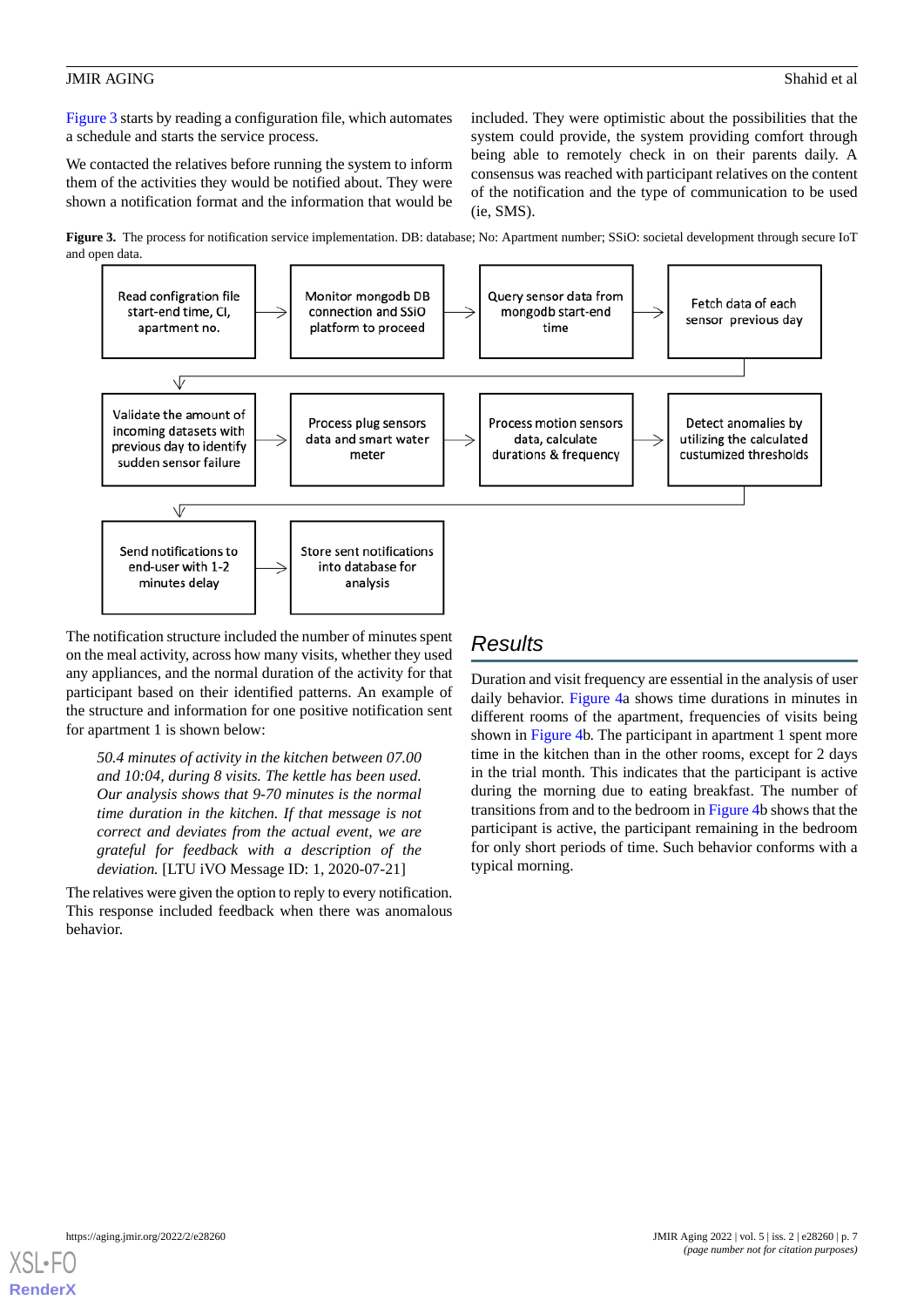[Figure 3](#page-6-0) starts by reading a configuration file, which automates a schedule and starts the service process.

We contacted the relatives before running the system to inform them of the activities they would be notified about. They were shown a notification format and the information that would be included. They were optimistic about the possibilities that the system could provide, the system providing comfort through being able to remotely check in on their parents daily. A consensus was reached with participant relatives on the content of the notification and the type of communication to be used (ie, SMS).

<span id="page-6-0"></span>**Figure 3.** The process for notification service implementation. DB: database; No: Apartment number; SSiO: societal development through secure IoT and open data.



The notification structure included the number of minutes spent on the meal activity, across how many visits, whether they used any appliances, and the normal duration of the activity for that participant based on their identified patterns. An example of the structure and information for one positive notification sent for apartment 1 is shown below:

*50.4 minutes of activity in the kitchen between 07.00 and 10:04, during 8 visits. The kettle has been used. Our analysis shows that 9-70 minutes is the normal time duration in the kitchen. If that message is not correct and deviates from the actual event, we are grateful for feedback with a description of the deviation.* [LTU iVO Message ID: 1, 2020-07-21]

The relatives were given the option to reply to every notification. This response included feedback when there was anomalous behavior.

# *Results*

Duration and visit frequency are essential in the analysis of user daily behavior. [Figure 4](#page-7-0)a shows time durations in minutes in different rooms of the apartment, frequencies of visits being shown in [Figure 4b](#page-7-0). The participant in apartment 1 spent more time in the kitchen than in the other rooms, except for 2 days in the trial month. This indicates that the participant is active during the morning due to eating breakfast. The number of transitions from and to the bedroom in [Figure 4b](#page-7-0) shows that the participant is active, the participant remaining in the bedroom for only short periods of time. Such behavior conforms with a typical morning.

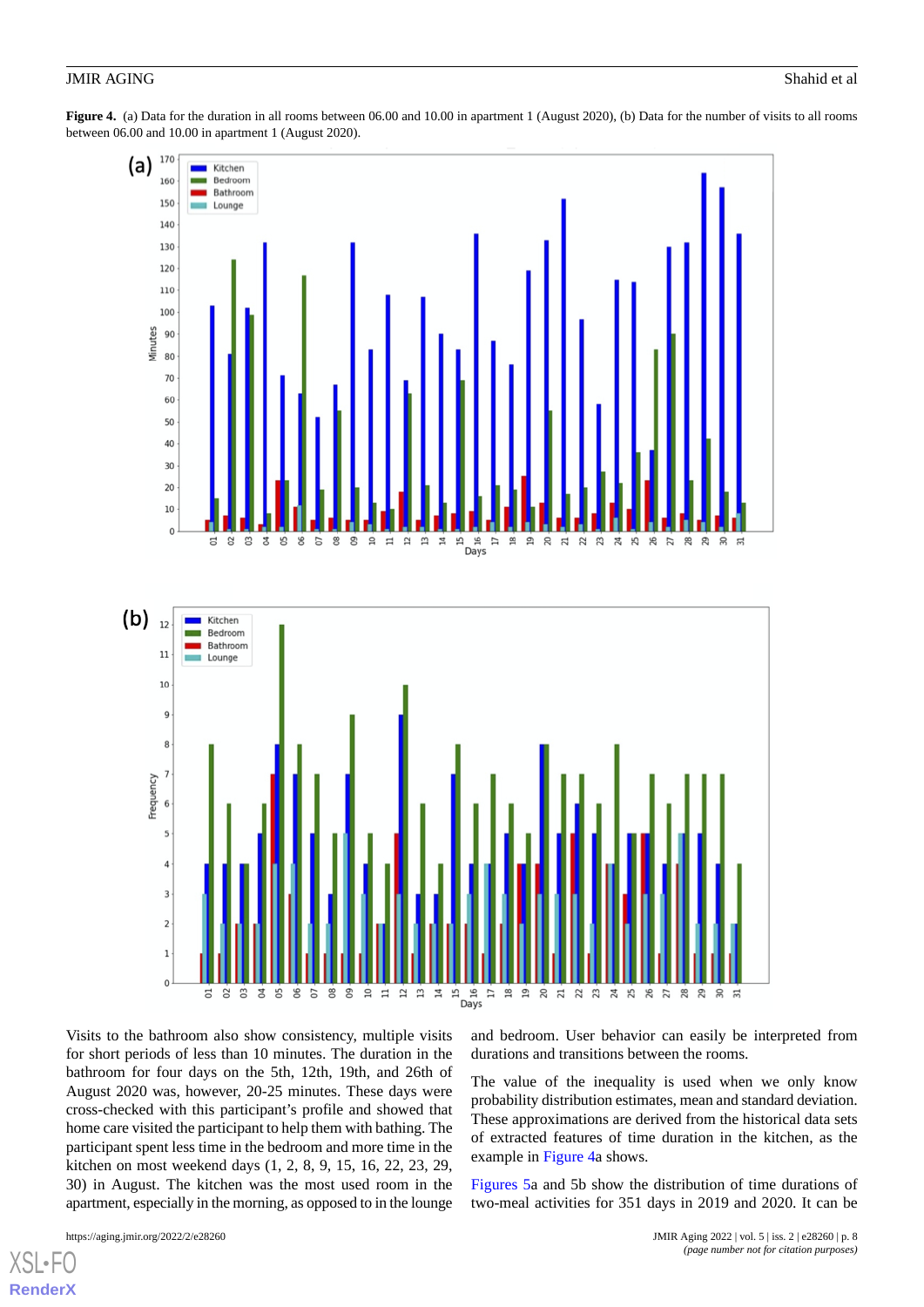<span id="page-7-0"></span>**Figure 4.** (a) Data for the duration in all rooms between 06.00 and 10.00 in apartment 1 (August 2020), (b) Data for the number of visits to all rooms between 06.00 and 10.00 in apartment 1 (August 2020).



Visits to the bathroom also show consistency, multiple visits for short periods of less than 10 minutes. The duration in the bathroom for four days on the 5th, 12th, 19th, and 26th of August 2020 was, however, 20-25 minutes. These days were cross-checked with this participant's profile and showed that home care visited the participant to help them with bathing. The participant spent less time in the bedroom and more time in the kitchen on most weekend days (1, 2, 8, 9, 15, 16, 22, 23, 29, 30) in August. The kitchen was the most used room in the apartment, especially in the morning, as opposed to in the lounge

 $XSI -$ **[RenderX](http://www.renderx.com/)** and bedroom. User behavior can easily be interpreted from durations and transitions between the rooms.

The value of the inequality is used when we only know probability distribution estimates, mean and standard deviation. These approximations are derived from the historical data sets of extracted features of time duration in the kitchen, as the example in [Figure 4a](#page-7-0) shows.

[Figures 5](#page-8-0)a and 5b show the distribution of time durations of two-meal activities for 351 days in 2019 and 2020. It can be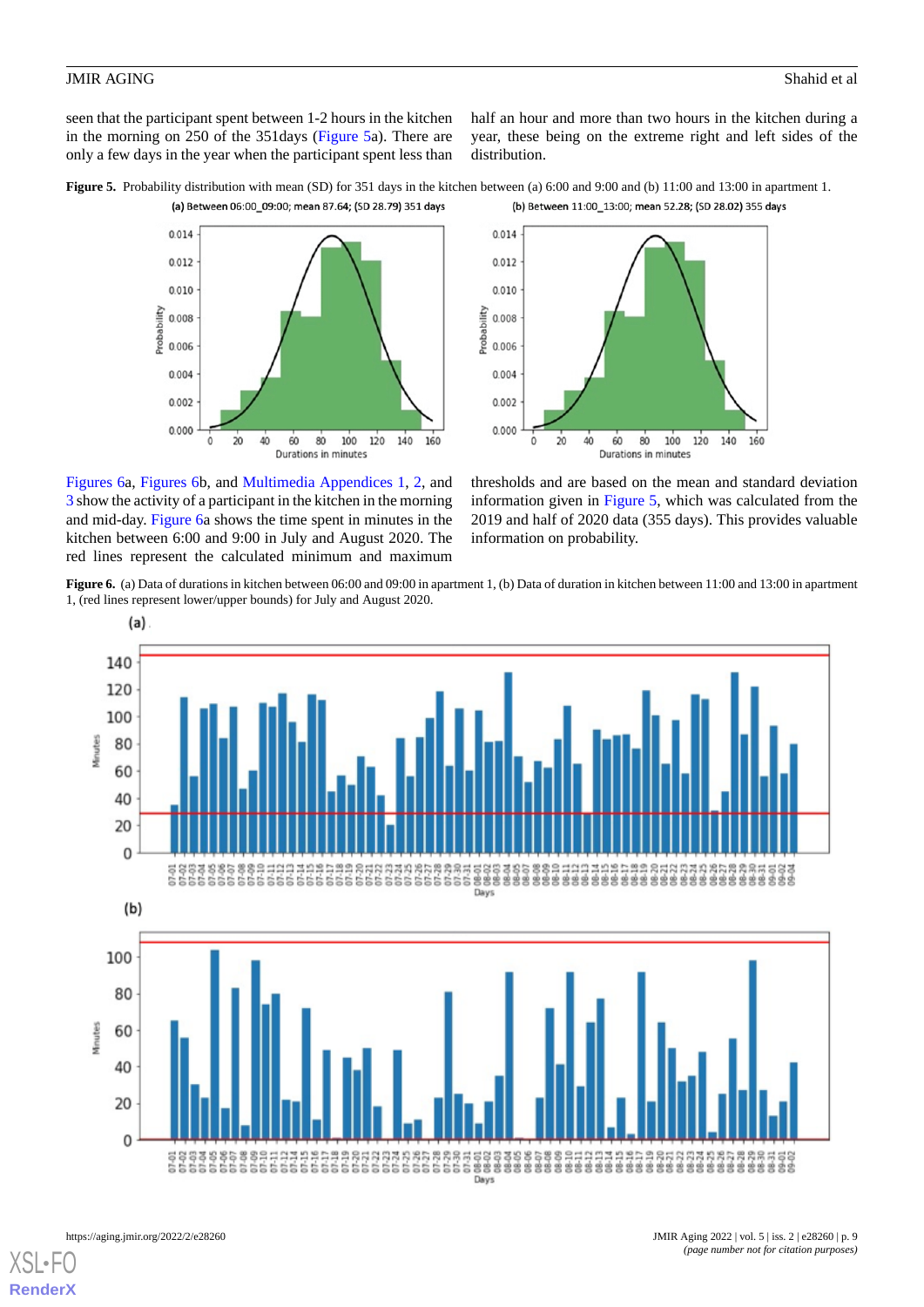seen that the participant spent between 1-2 hours in the kitchen in the morning on 250 of the 351days ([Figure 5](#page-8-0)a). There are only a few days in the year when the participant spent less than half an hour and more than two hours in the kitchen during a year, these being on the extreme right and left sides of the distribution.

<span id="page-8-0"></span>





<span id="page-8-1"></span>[Figures 6](#page-8-1)a, [Figures 6](#page-8-1)b, and [Multimedia Appendices 1](#page-14-11), [2,](#page-14-12) and [3](#page-14-13) show the activity of a participant in the kitchen in the morning and mid-day. [Figure 6](#page-8-1)a shows the time spent in minutes in the kitchen between 6:00 and 9:00 in July and August 2020. The red lines represent the calculated minimum and maximum

thresholds and are based on the mean and standard deviation information given in [Figure 5](#page-8-0), which was calculated from the 2019 and half of 2020 data (355 days). This provides valuable information on probability.

**Figure 6.** (a) Data of durations in kitchen between 06:00 and 09:00 in apartment 1, (b) Data of duration in kitchen between 11:00 and 13:00 in apartment 1, (red lines represent lower/upper bounds) for July and August 2020.

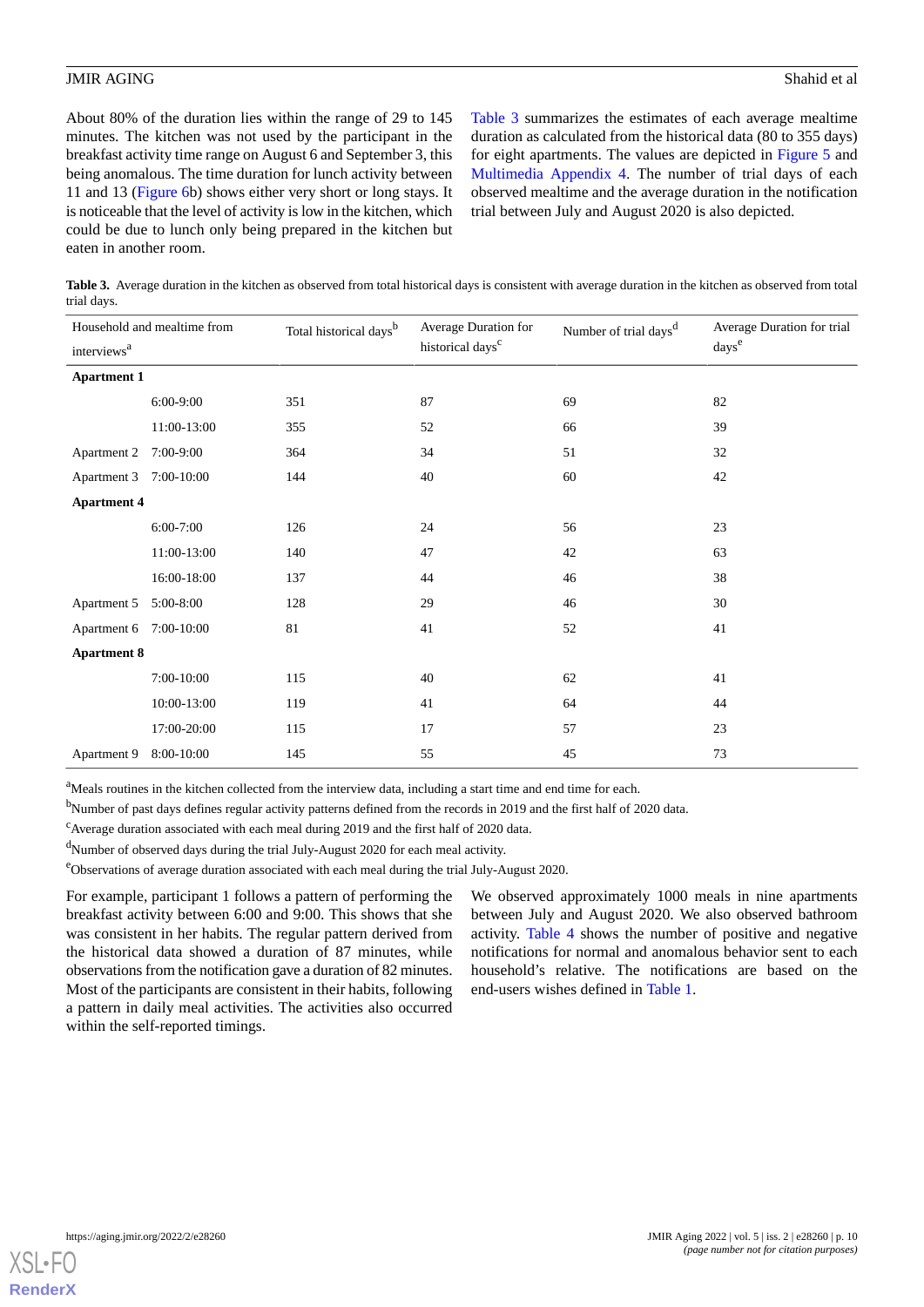About 80% of the duration lies within the range of 29 to 145 minutes. The kitchen was not used by the participant in the breakfast activity time range on August 6 and September 3, this being anomalous. The time duration for lunch activity between 11 and 13 [\(Figure 6](#page-8-1)b) shows either very short or long stays. It is noticeable that the level of activity is low in the kitchen, which could be due to lunch only being prepared in the kitchen but eaten in another room.

[Table 3](#page-9-0) summarizes the estimates of each average mealtime duration as calculated from the historical data (80 to 355 days) for eight apartments. The values are depicted in [Figure 5](#page-8-0) and [Multimedia Appendix 4.](#page-14-14) The number of trial days of each observed mealtime and the average duration in the notification trial between July and August 2020 is also depicted.

<span id="page-9-0"></span>**Table 3.** Average duration in the kitchen as observed from total historical days is consistent with average duration in the kitchen as observed from total trial days.

| Household and mealtime from |             | Total historical days <sup>b</sup> | Average Duration for |                                   | Average Duration for trial<br>days <sup>e</sup> |  |
|-----------------------------|-------------|------------------------------------|----------------------|-----------------------------------|-------------------------------------------------|--|
| interviews <sup>a</sup>     |             | historical days <sup>c</sup>       |                      | Number of trial days <sup>d</sup> |                                                 |  |
| <b>Apartment 1</b>          |             |                                    |                      |                                   |                                                 |  |
|                             | 6:00-9:00   | 351                                | 87                   | 69                                | 82                                              |  |
|                             | 11:00-13:00 | 355                                | 52                   | 66                                | 39                                              |  |
| Apartment 2                 | 7:00-9:00   | 364                                | 34                   | 51                                | 32                                              |  |
| Apartment 3 7:00-10:00      |             | 144                                | 40                   | 60                                | 42                                              |  |
| <b>Apartment 4</b>          |             |                                    |                      |                                   |                                                 |  |
|                             | $6:00-7:00$ | 126                                | 24                   | 56                                | 23                                              |  |
|                             | 11:00-13:00 | 140                                | 47                   | 42                                | 63                                              |  |
|                             | 16:00-18:00 | 137                                | 44                   | 46                                | 38                                              |  |
| Apartment 5 5:00-8:00       |             | 128                                | 29                   | 46                                | 30                                              |  |
| Apartment 6 7:00-10:00      |             | 81                                 | 41                   | 52                                | 41                                              |  |
| <b>Apartment 8</b>          |             |                                    |                      |                                   |                                                 |  |
|                             | 7:00-10:00  | 115                                | 40                   | 62                                | 41                                              |  |
|                             | 10:00-13:00 | 119                                | 41                   | 64                                | 44                                              |  |
|                             | 17:00-20:00 | 115                                | 17                   | 57                                | 23                                              |  |
| Apartment 9                 | 8:00-10:00  | 145                                | 55                   | 45                                | 73                                              |  |

<sup>a</sup>Meals routines in the kitchen collected from the interview data, including a start time and end time for each.

<sup>b</sup>Number of past days defines regular activity patterns defined from the records in 2019 and the first half of 2020 data.

 $\textdegree$ Average duration associated with each meal during 2019 and the first half of 2020 data.

<sup>d</sup>Number of observed days during the trial July-August 2020 for each meal activity.

<sup>e</sup>Observations of average duration associated with each meal during the trial July-August 2020.

For example, participant 1 follows a pattern of performing the breakfast activity between 6:00 and 9:00. This shows that she was consistent in her habits. The regular pattern derived from the historical data showed a duration of 87 minutes, while observations from the notification gave a duration of 82 minutes. Most of the participants are consistent in their habits, following a pattern in daily meal activities. The activities also occurred within the self-reported timings.

We observed approximately 1000 meals in nine apartments between July and August 2020. We also observed bathroom activity. [Table 4](#page-10-0) shows the number of positive and negative notifications for normal and anomalous behavior sent to each household's relative. The notifications are based on the end-users wishes defined in [Table 1](#page-3-0).

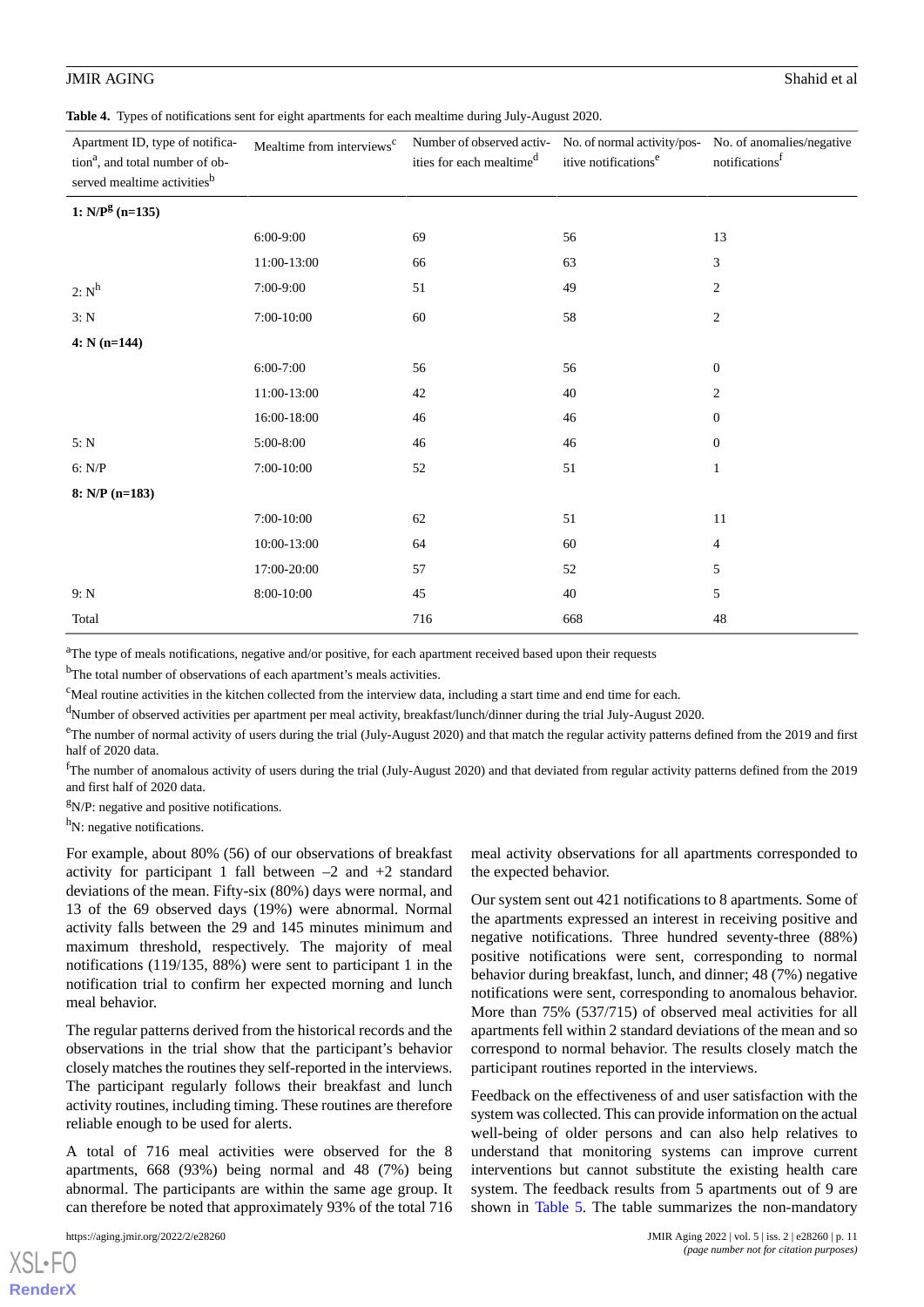<span id="page-10-0"></span>**Table 4.** Types of notifications sent for eight apartments for each mealtime during July-August 2020.

| Apartment ID, type of notifica-<br>tion <sup>a</sup> , and total number of ob-<br>served mealtime activities <sup>b</sup> | Mealtime from interviews <sup>c</sup> | Number of observed activ-<br>ities for each mealtime <sup>d</sup> | itive notifications <sup>e</sup> | No. of normal activity/pos- No. of anomalies/negative<br>notifications <sup>f</sup> |
|---------------------------------------------------------------------------------------------------------------------------|---------------------------------------|-------------------------------------------------------------------|----------------------------------|-------------------------------------------------------------------------------------|
| 1: $N/P^g$ (n=135)                                                                                                        |                                       |                                                                   |                                  |                                                                                     |
|                                                                                                                           | 6:00-9:00                             | 69                                                                | 56                               | 13                                                                                  |
|                                                                                                                           | 11:00-13:00                           | 66                                                                | 63                               | 3                                                                                   |
| $2: N^h$                                                                                                                  | 7:00-9:00                             | 51                                                                | 49                               | $\overline{c}$                                                                      |
| 3: N                                                                                                                      | 7:00-10:00                            | 60                                                                | 58                               | $\boldsymbol{2}$                                                                    |
| $4: N(n=144)$                                                                                                             |                                       |                                                                   |                                  |                                                                                     |
|                                                                                                                           | $6:00-7:00$                           | 56                                                                | 56                               | $\mathbf{0}$                                                                        |
|                                                                                                                           | 11:00-13:00                           | 42                                                                | 40                               | $\overline{c}$                                                                      |
|                                                                                                                           | 16:00-18:00                           | 46                                                                | 46                               | $\mathbf{0}$                                                                        |
| 5: N                                                                                                                      | 5:00-8:00                             | 46                                                                | 46                               | $\mathbf{0}$                                                                        |
| 6: N/P                                                                                                                    | 7:00-10:00                            | 52                                                                | 51                               | $\mathbf{1}$                                                                        |
| $8: N/P (n=183)$                                                                                                          |                                       |                                                                   |                                  |                                                                                     |
|                                                                                                                           | $7:00-10:00$                          | 62                                                                | 51                               | 11                                                                                  |
|                                                                                                                           | 10:00-13:00                           | 64                                                                | 60                               | $\overline{4}$                                                                      |
|                                                                                                                           | 17:00-20:00                           | 57                                                                | 52                               | 5                                                                                   |
| 9: N                                                                                                                      | $8:00-10:00$                          | 45                                                                | 40                               | 5                                                                                   |
| Total                                                                                                                     |                                       | 716                                                               | 668                              | 48                                                                                  |

<sup>a</sup>The type of meals notifications, negative and/or positive, for each apartment received based upon their requests

<sup>b</sup>The total number of observations of each apartment's meals activities.

 $c<sup>c</sup>$ Meal routine activities in the kitchen collected from the interview data, including a start time and end time for each.

<sup>d</sup>Number of observed activities per apartment per meal activity, breakfast/lunch/dinner during the trial July-August 2020.

<sup>e</sup>The number of normal activity of users during the trial (July-August 2020) and that match the regular activity patterns defined from the 2019 and first half of 2020 data.

 $<sup>f</sup>$ The number of anomalous activity of users during the trial (July-August 2020) and that deviated from regular activity patterns defined from the 2019</sup> and first half of 2020 data.

 $g_N$ P: negative and positive notifications.

h<sub>N</sub>: negative notifications.

For example, about 80% (56) of our observations of breakfast activity for participant 1 fall between  $-2$  and  $+2$  standard deviations of the mean. Fifty-six (80%) days were normal, and 13 of the 69 observed days (19%) were abnormal. Normal activity falls between the 29 and 145 minutes minimum and maximum threshold, respectively. The majority of meal notifications (119/135, 88%) were sent to participant 1 in the notification trial to confirm her expected morning and lunch meal behavior.

The regular patterns derived from the historical records and the observations in the trial show that the participant's behavior closely matches the routines they self-reported in the interviews. The participant regularly follows their breakfast and lunch activity routines, including timing. These routines are therefore reliable enough to be used for alerts.

A total of 716 meal activities were observed for the 8 apartments, 668 (93%) being normal and 48 (7%) being abnormal. The participants are within the same age group. It can therefore be noted that approximately 93% of the total 716

[XSL](http://www.w3.org/Style/XSL)•FO **[RenderX](http://www.renderx.com/)** meal activity observations for all apartments corresponded to the expected behavior.

Our system sent out 421 notifications to 8 apartments. Some of the apartments expressed an interest in receiving positive and negative notifications. Three hundred seventy-three (88%) positive notifications were sent, corresponding to normal behavior during breakfast, lunch, and dinner; 48 (7%) negative notifications were sent, corresponding to anomalous behavior. More than 75% (537/715) of observed meal activities for all apartments fell within 2 standard deviations of the mean and so correspond to normal behavior. The results closely match the participant routines reported in the interviews.

Feedback on the effectiveness of and user satisfaction with the system was collected. This can provide information on the actual well-being of older persons and can also help relatives to understand that monitoring systems can improve current interventions but cannot substitute the existing health care system. The feedback results from 5 apartments out of 9 are shown in [Table 5.](#page-11-0) The table summarizes the non-mandatory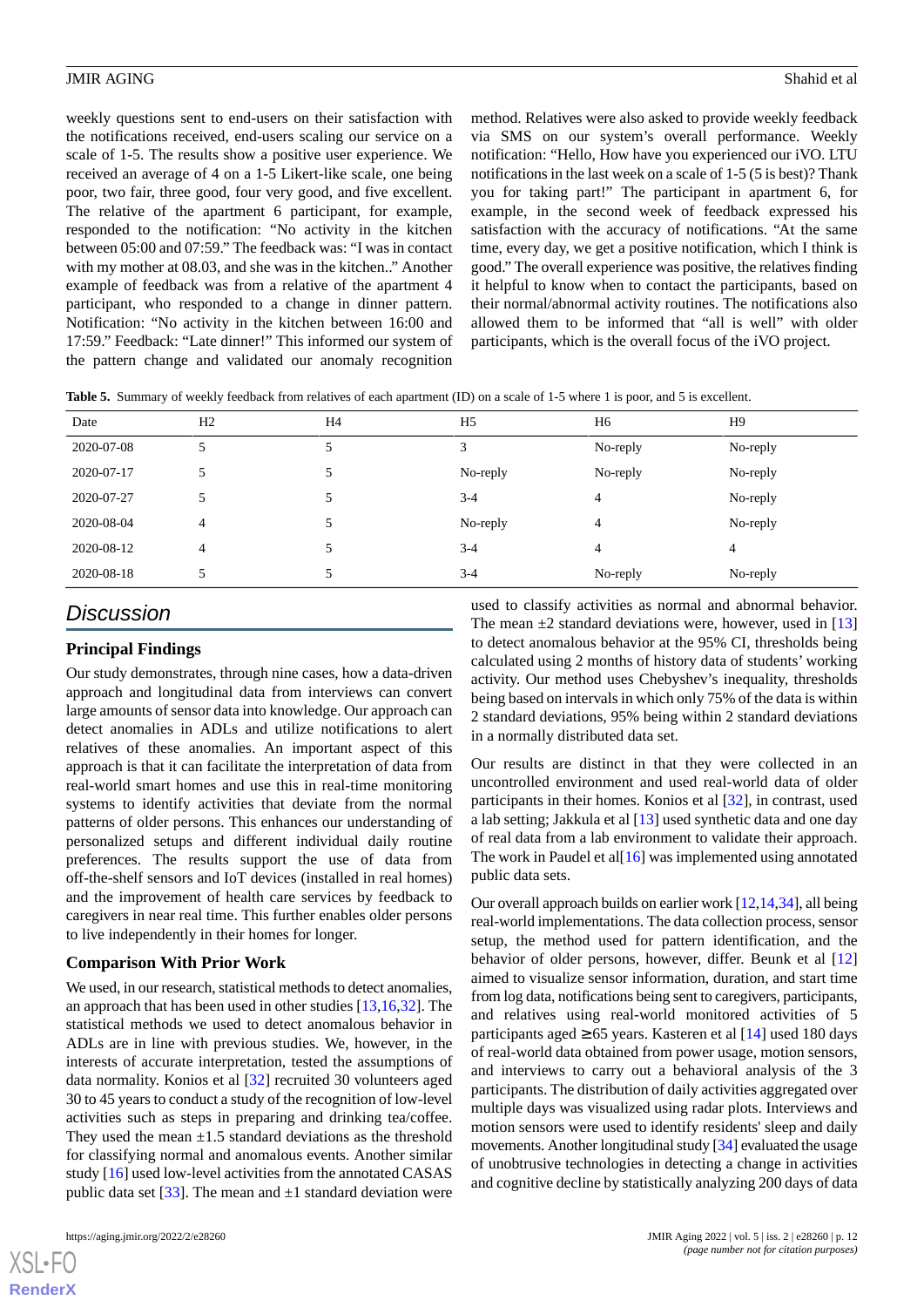weekly questions sent to end-users on their satisfaction with the notifications received, end-users scaling our service on a scale of 1-5. The results show a positive user experience. We received an average of 4 on a 1-5 Likert-like scale, one being poor, two fair, three good, four very good, and five excellent. The relative of the apartment 6 participant, for example, responded to the notification: "No activity in the kitchen between 05:00 and 07:59." The feedback was: "I was in contact with my mother at 08.03, and she was in the kitchen.." Another example of feedback was from a relative of the apartment 4 participant, who responded to a change in dinner pattern. Notification: "No activity in the kitchen between 16:00 and 17:59." Feedback: "Late dinner!" This informed our system of the pattern change and validated our anomaly recognition

method. Relatives were also asked to provide weekly feedback via SMS on our system's overall performance. Weekly notification: "Hello, How have you experienced our iVO. LTU notifications in the last week on a scale of 1-5 (5 is best)? Thank you for taking part!" The participant in apartment 6, for example, in the second week of feedback expressed his satisfaction with the accuracy of notifications. "At the same time, every day, we get a positive notification, which I think is good." The overall experience was positive, the relatives finding it helpful to know when to contact the participants, based on their normal/abnormal activity routines. The notifications also allowed them to be informed that "all is well" with older participants, which is the overall focus of the iVO project.

<span id="page-11-0"></span>

| Date       | H <sub>2</sub> | H4             | H <sub>5</sub> | H <sub>6</sub> | H9       |
|------------|----------------|----------------|----------------|----------------|----------|
| 2020-07-08 |                |                | 3              | No-reply       | No-reply |
| 2020-07-17 |                | 5              | No-reply       | No-reply       | No-reply |
| 2020-07-27 |                | $\mathfrak{H}$ | $3-4$          | 4              | No-reply |
| 2020-08-04 | 4              | 5              | No-reply       | 4              | No-reply |
| 2020-08-12 | 4              |                | $3 - 4$        | 4              | 4        |
| 2020-08-18 |                | 5              | $3 - 4$        | No-reply       | No-reply |

# *Discussion*

## **Principal Findings**

Our study demonstrates, through nine cases, how a data-driven approach and longitudinal data from interviews can convert large amounts of sensor data into knowledge. Our approach can detect anomalies in ADLs and utilize notifications to alert relatives of these anomalies. An important aspect of this approach is that it can facilitate the interpretation of data from real-world smart homes and use this in real-time monitoring systems to identify activities that deviate from the normal patterns of older persons. This enhances our understanding of personalized setups and different individual daily routine preferences. The results support the use of data from off-the-shelf sensors and IoT devices (installed in real homes) and the improvement of health care services by feedback to caregivers in near real time. This further enables older persons to live independently in their homes for longer.

### **Comparison With Prior Work**

We used, in our research, statistical methods to detect anomalies, an approach that has been used in other studies [\[13](#page-15-17),[16,](#page-15-1)[32](#page-15-18)]. The statistical methods we used to detect anomalous behavior in ADLs are in line with previous studies. We, however, in the interests of accurate interpretation, tested the assumptions of data normality. Konios et al [[32\]](#page-15-18) recruited 30 volunteers aged 30 to 45 years to conduct a study of the recognition of low-level activities such as steps in preparing and drinking tea/coffee. They used the mean  $\pm 1.5$  standard deviations as the threshold for classifying normal and anomalous events. Another similar study [[16\]](#page-15-1) used low-level activities from the annotated CASAS public data set [\[33](#page-15-19)]. The mean and  $\pm 1$  standard deviation were

[XSL](http://www.w3.org/Style/XSL)•FO **[RenderX](http://www.renderx.com/)** used to classify activities as normal and abnormal behavior. The mean  $\pm 2$  standard deviations were, however, used in [\[13](#page-15-17)] to detect anomalous behavior at the 95% CI, thresholds being calculated using 2 months of history data of students' working activity. Our method uses Chebyshev's inequality, thresholds being based on intervals in which only 75% of the data is within 2 standard deviations, 95% being within 2 standard deviations in a normally distributed data set.

Our results are distinct in that they were collected in an uncontrolled environment and used real-world data of older participants in their homes. Konios et al [\[32](#page-15-18)], in contrast, used a lab setting; Jakkula et al [[13\]](#page-15-17) used synthetic data and one day of real data from a lab environment to validate their approach. The work in Paudel et al $[16]$  $[16]$  was implemented using annotated public data sets.

Our overall approach builds on earlier work [\[12](#page-14-15),[14](#page-15-20),[34\]](#page-15-21), all being real-world implementations. The data collection process, sensor setup, the method used for pattern identification, and the behavior of older persons, however, differ. Beunk et al [\[12](#page-14-15)] aimed to visualize sensor information, duration, and start time from log data, notifications being sent to caregivers, participants, and relatives using real-world monitored activities of 5 participants aged  $\geq 65$  years. Kasteren et al [[14\]](#page-15-20) used 180 days of real-world data obtained from power usage, motion sensors, and interviews to carry out a behavioral analysis of the 3 participants. The distribution of daily activities aggregated over multiple days was visualized using radar plots. Interviews and motion sensors were used to identify residents' sleep and daily movements. Another longitudinal study [[34](#page-15-21)] evaluated the usage of unobtrusive technologies in detecting a change in activities and cognitive decline by statistically analyzing 200 days of data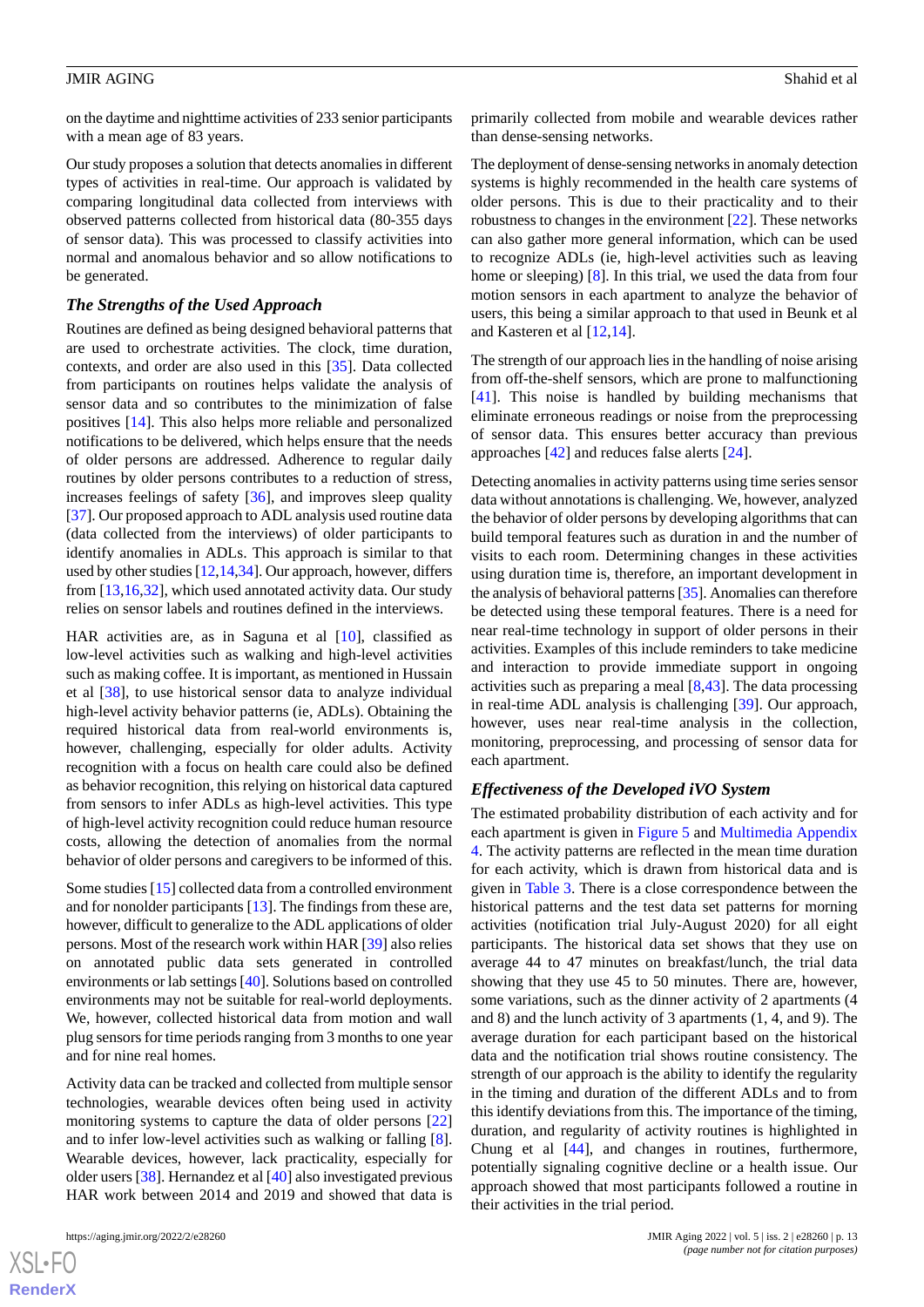on the daytime and nighttime activities of 233 senior participants with a mean age of 83 years.

Our study proposes a solution that detects anomalies in different types of activities in real-time. Our approach is validated by comparing longitudinal data collected from interviews with observed patterns collected from historical data (80-355 days of sensor data). This was processed to classify activities into normal and anomalous behavior and so allow notifications to be generated.

#### *The Strengths of the Used Approach*

Routines are defined as being designed behavioral patterns that are used to orchestrate activities. The clock, time duration, contexts, and order are also used in this [[35\]](#page-15-22). Data collected from participants on routines helps validate the analysis of sensor data and so contributes to the minimization of false positives [\[14](#page-15-20)]. This also helps more reliable and personalized notifications to be delivered, which helps ensure that the needs of older persons are addressed. Adherence to regular daily routines by older persons contributes to a reduction of stress, increases feelings of safety [\[36](#page-15-23)], and improves sleep quality [[37\]](#page-15-24). Our proposed approach to ADL analysis used routine data (data collected from the interviews) of older participants to identify anomalies in ADLs. This approach is similar to that used by other studies [\[12](#page-14-15)[,14](#page-15-20),[34\]](#page-15-21). Our approach, however, differs from [[13,](#page-15-17)[16](#page-15-1)[,32](#page-15-18)], which used annotated activity data. Our study relies on sensor labels and routines defined in the interviews.

HAR activities are, as in Saguna et al [\[10](#page-14-9)], classified as low-level activities such as walking and high-level activities such as making coffee. It is important, as mentioned in Hussain et al [[38\]](#page-15-25), to use historical sensor data to analyze individual high-level activity behavior patterns (ie, ADLs). Obtaining the required historical data from real-world environments is, however, challenging, especially for older adults. Activity recognition with a focus on health care could also be defined as behavior recognition, this relying on historical data captured from sensors to infer ADLs as high-level activities. This type of high-level activity recognition could reduce human resource costs, allowing the detection of anomalies from the normal behavior of older persons and caregivers to be informed of this.

Some studies [\[15](#page-15-0)] collected data from a controlled environment and for nonolder participants [\[13](#page-15-17)]. The findings from these are, however, difficult to generalize to the ADL applications of older persons. Most of the research work within HAR [\[39](#page-16-0)] also relies on annotated public data sets generated in controlled environments or lab settings [[40\]](#page-16-1). Solutions based on controlled environments may not be suitable for real-world deployments. We, however, collected historical data from motion and wall plug sensors for time periods ranging from 3 months to one year and for nine real homes.

Activity data can be tracked and collected from multiple sensor technologies, wearable devices often being used in activity monitoring systems to capture the data of older persons [\[22](#page-15-7)] and to infer low-level activities such as walking or falling [[8\]](#page-14-7). Wearable devices, however, lack practicality, especially for older users [[38\]](#page-15-25). Hernandez et al [\[40\]](#page-16-1) also investigated previous HAR work between 2014 and 2019 and showed that data is

primarily collected from mobile and wearable devices rather than dense-sensing networks.

The deployment of dense-sensing networks in anomaly detection systems is highly recommended in the health care systems of older persons. This is due to their practicality and to their robustness to changes in the environment [\[22](#page-15-7)]. These networks can also gather more general information, which can be used to recognize ADLs (ie, high-level activities such as leaving home or sleeping) [\[8](#page-14-7)]. In this trial, we used the data from four motion sensors in each apartment to analyze the behavior of users, this being a similar approach to that used in Beunk et al and Kasteren et al [\[12](#page-14-15),[14\]](#page-15-20).

The strength of our approach lies in the handling of noise arising from off-the-shelf sensors, which are prone to malfunctioning [[41\]](#page-16-2). This noise is handled by building mechanisms that eliminate erroneous readings or noise from the preprocessing of sensor data. This ensures better accuracy than previous approaches [\[42](#page-16-3)] and reduces false alerts [\[24](#page-15-9)].

Detecting anomalies in activity patterns using time series sensor data without annotations is challenging. We, however, analyzed the behavior of older persons by developing algorithms that can build temporal features such as duration in and the number of visits to each room. Determining changes in these activities using duration time is, therefore, an important development in the analysis of behavioral patterns [\[35\]](#page-15-22). Anomalies can therefore be detected using these temporal features. There is a need for near real-time technology in support of older persons in their activities. Examples of this include reminders to take medicine and interaction to provide immediate support in ongoing activities such as preparing a meal [[8](#page-14-7)[,43](#page-16-4)]. The data processing in real-time ADL analysis is challenging [[39\]](#page-16-0). Our approach, however, uses near real-time analysis in the collection, monitoring, preprocessing, and processing of sensor data for each apartment.

#### *Effectiveness of the Developed iVO System*

The estimated probability distribution of each activity and for each apartment is given in [Figure 5](#page-8-0) and [Multimedia Appendix](#page-14-14) [4.](#page-14-14) The activity patterns are reflected in the mean time duration for each activity, which is drawn from historical data and is given in [Table 3](#page-9-0). There is a close correspondence between the historical patterns and the test data set patterns for morning activities (notification trial July-August 2020) for all eight participants. The historical data set shows that they use on average 44 to 47 minutes on breakfast/lunch, the trial data showing that they use 45 to 50 minutes. There are, however, some variations, such as the dinner activity of 2 apartments (4 and 8) and the lunch activity of 3 apartments (1, 4, and 9). The average duration for each participant based on the historical data and the notification trial shows routine consistency. The strength of our approach is the ability to identify the regularity in the timing and duration of the different ADLs and to from this identify deviations from this. The importance of the timing, duration, and regularity of activity routines is highlighted in Chung et al [[44\]](#page-16-5), and changes in routines, furthermore, potentially signaling cognitive decline or a health issue. Our approach showed that most participants followed a routine in their activities in the trial period.

 $XS$  $\cdot$ FC **[RenderX](http://www.renderx.com/)**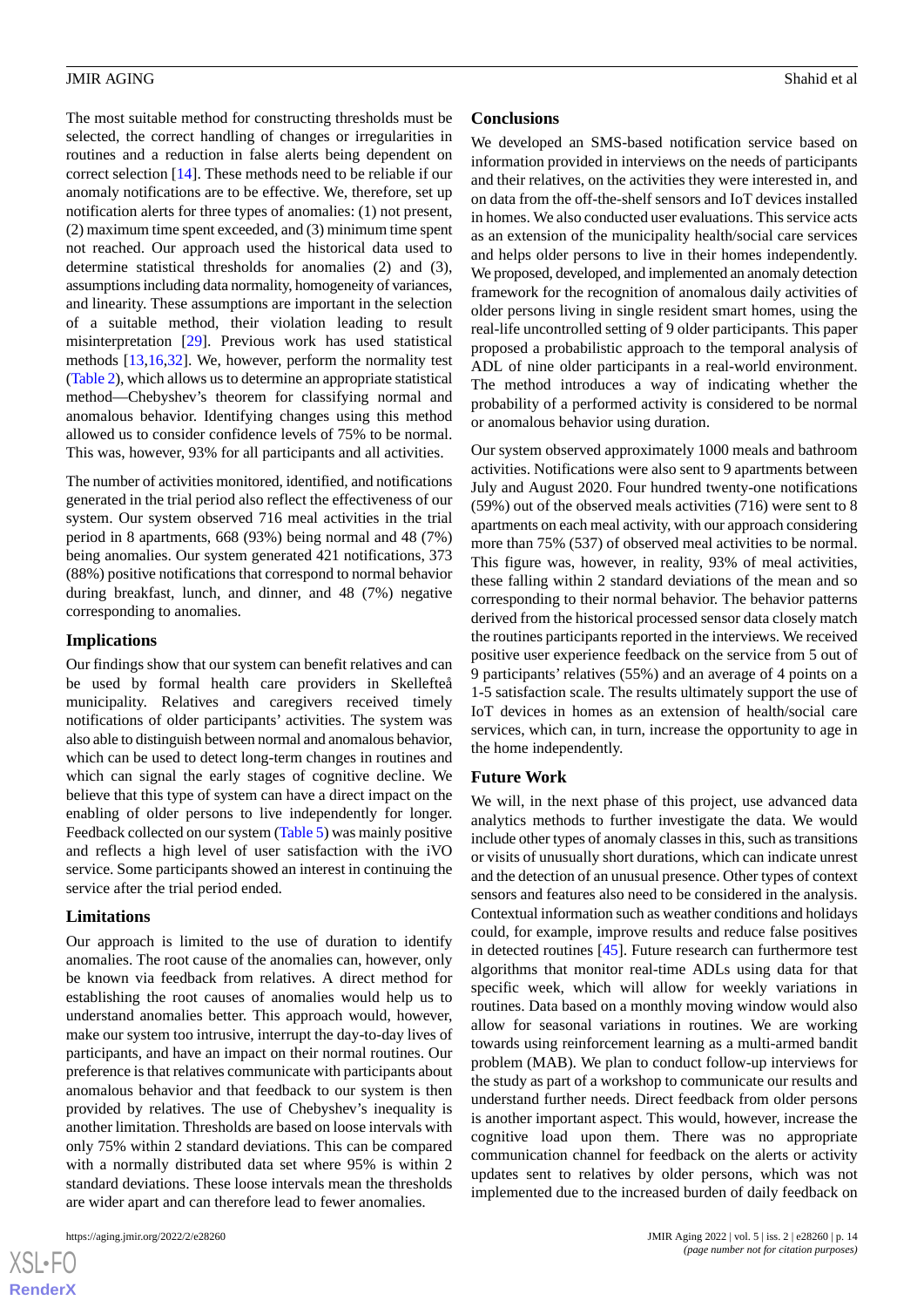The most suitable method for constructing thresholds must be selected, the correct handling of changes or irregularities in routines and a reduction in false alerts being dependent on correct selection [[14\]](#page-15-20). These methods need to be reliable if our anomaly notifications are to be effective. We, therefore, set up notification alerts for three types of anomalies: (1) not present, (2) maximum time spent exceeded, and (3) minimum time spent not reached. Our approach used the historical data used to determine statistical thresholds for anomalies (2) and (3), assumptions including data normality, homogeneity of variances, and linearity. These assumptions are important in the selection of a suitable method, their violation leading to result misinterpretation [\[29](#page-15-14)]. Previous work has used statistical methods [[13](#page-15-17)[,16](#page-15-1),[32\]](#page-15-18). We, however, perform the normality test ([Table 2](#page-5-0)), which allows us to determine an appropriate statistical method—Chebyshev's theorem for classifying normal and anomalous behavior. Identifying changes using this method allowed us to consider confidence levels of 75% to be normal. This was, however, 93% for all participants and all activities.

The number of activities monitored, identified, and notifications generated in the trial period also reflect the effectiveness of our system. Our system observed 716 meal activities in the trial period in 8 apartments, 668 (93%) being normal and 48 (7%) being anomalies. Our system generated 421 notifications, 373 (88%) positive notifications that correspond to normal behavior during breakfast, lunch, and dinner, and 48 (7%) negative corresponding to anomalies.

#### **Implications**

Our findings show that our system can benefit relatives and can be used by formal health care providers in Skellefteå municipality. Relatives and caregivers received timely notifications of older participants' activities. The system was also able to distinguish between normal and anomalous behavior, which can be used to detect long-term changes in routines and which can signal the early stages of cognitive decline. We believe that this type of system can have a direct impact on the enabling of older persons to live independently for longer. Feedback collected on our system [\(Table 5\)](#page-11-0) was mainly positive and reflects a high level of user satisfaction with the iVO service. Some participants showed an interest in continuing the service after the trial period ended.

#### **Limitations**

Our approach is limited to the use of duration to identify anomalies. The root cause of the anomalies can, however, only be known via feedback from relatives. A direct method for establishing the root causes of anomalies would help us to understand anomalies better. This approach would, however, make our system too intrusive, interrupt the day-to-day lives of participants, and have an impact on their normal routines. Our preference is that relatives communicate with participants about anomalous behavior and that feedback to our system is then provided by relatives. The use of Chebyshev's inequality is another limitation. Thresholds are based on loose intervals with only 75% within 2 standard deviations. This can be compared with a normally distributed data set where 95% is within 2 standard deviations. These loose intervals mean the thresholds are wider apart and can therefore lead to fewer anomalies.

#### **Conclusions**

We developed an SMS-based notification service based on information provided in interviews on the needs of participants and their relatives, on the activities they were interested in, and on data from the off-the-shelf sensors and IoT devices installed in homes. We also conducted user evaluations. This service acts as an extension of the municipality health/social care services and helps older persons to live in their homes independently. We proposed, developed, and implemented an anomaly detection framework for the recognition of anomalous daily activities of older persons living in single resident smart homes, using the real-life uncontrolled setting of 9 older participants. This paper proposed a probabilistic approach to the temporal analysis of ADL of nine older participants in a real-world environment. The method introduces a way of indicating whether the probability of a performed activity is considered to be normal or anomalous behavior using duration.

Our system observed approximately 1000 meals and bathroom activities. Notifications were also sent to 9 apartments between July and August 2020. Four hundred twenty-one notifications (59%) out of the observed meals activities (716) were sent to 8 apartments on each meal activity, with our approach considering more than 75% (537) of observed meal activities to be normal. This figure was, however, in reality, 93% of meal activities, these falling within 2 standard deviations of the mean and so corresponding to their normal behavior. The behavior patterns derived from the historical processed sensor data closely match the routines participants reported in the interviews. We received positive user experience feedback on the service from 5 out of 9 participants' relatives (55%) and an average of 4 points on a 1-5 satisfaction scale. The results ultimately support the use of IoT devices in homes as an extension of health/social care services, which can, in turn, increase the opportunity to age in the home independently.

#### **Future Work**

We will, in the next phase of this project, use advanced data analytics methods to further investigate the data. We would include other types of anomaly classes in this, such as transitions or visits of unusually short durations, which can indicate unrest and the detection of an unusual presence. Other types of context sensors and features also need to be considered in the analysis. Contextual information such as weather conditions and holidays could, for example, improve results and reduce false positives in detected routines [\[45](#page-16-6)]. Future research can furthermore test algorithms that monitor real-time ADLs using data for that specific week, which will allow for weekly variations in routines. Data based on a monthly moving window would also allow for seasonal variations in routines. We are working towards using reinforcement learning as a multi-armed bandit problem (MAB). We plan to conduct follow-up interviews for the study as part of a workshop to communicate our results and understand further needs. Direct feedback from older persons is another important aspect. This would, however, increase the cognitive load upon them. There was no appropriate communication channel for feedback on the alerts or activity updates sent to relatives by older persons, which was not implemented due to the increased burden of daily feedback on

 $XS$  $\cdot$ FC **[RenderX](http://www.renderx.com/)**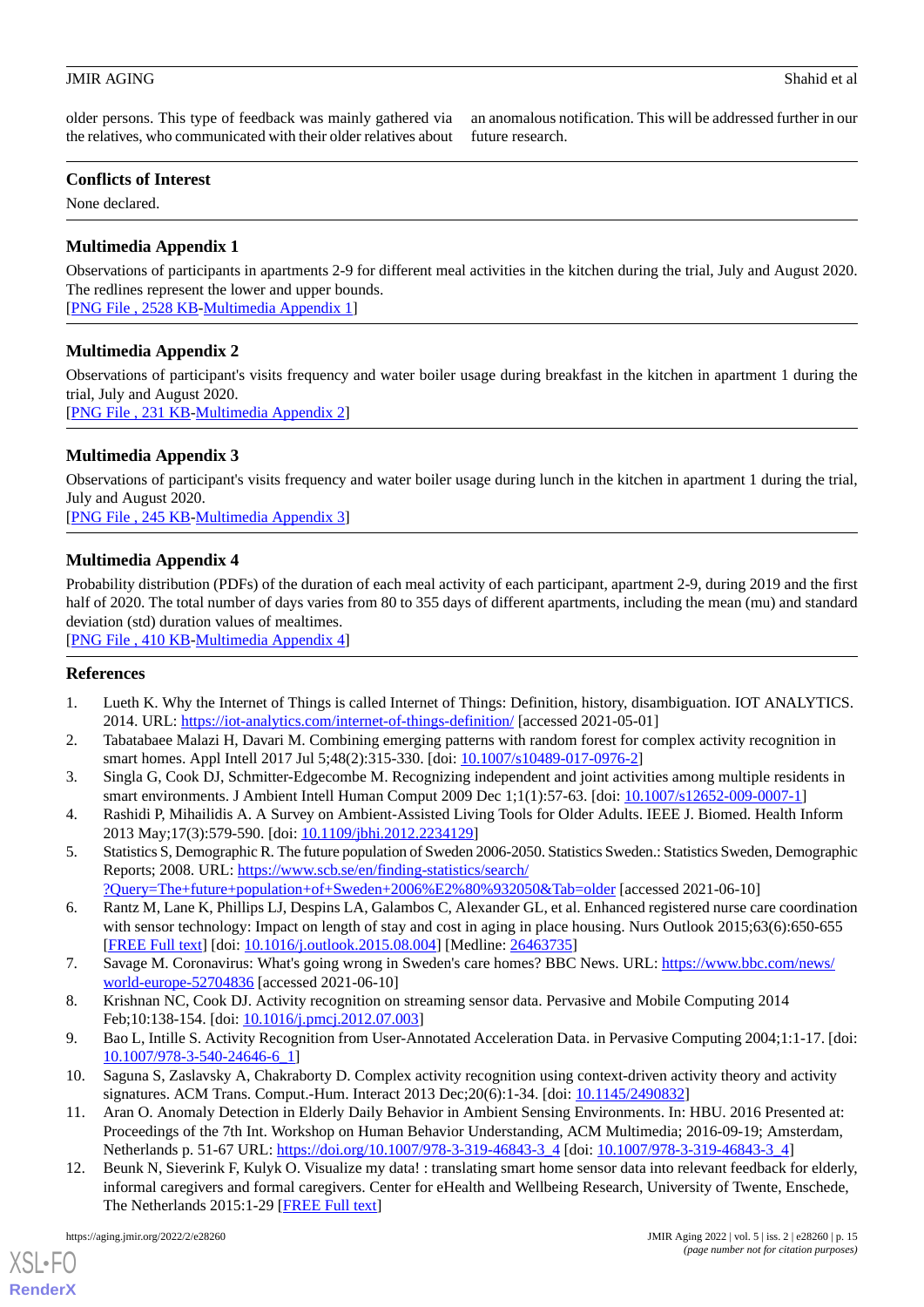older persons. This type of feedback was mainly gathered via the relatives, who communicated with their older relatives about

an anomalous notification. This will be addressed further in our future research.

# **Conflicts of Interest**

<span id="page-14-11"></span>None declared.

# **Multimedia Appendix 1**

Observations of participants in apartments 2-9 for different meal activities in the kitchen during the trial, July and August 2020. The redlines represent the lower and upper bounds.

<span id="page-14-12"></span>[[PNG File , 2528 KB-Multimedia Appendix 1](https://jmir.org/api/download?alt_name=aging_v5i2e28260_app1.png&filename=abb44c0fe63a4af3842472f33c3b57af.png)]

# **Multimedia Appendix 2**

Observations of participant's visits frequency and water boiler usage during breakfast in the kitchen in apartment 1 during the trial, July and August 2020.

<span id="page-14-13"></span>[[PNG File , 231 KB-Multimedia Appendix 2](https://jmir.org/api/download?alt_name=aging_v5i2e28260_app2.png&filename=9927ffe1be974abf21c0bf3c91abdf11.png)]

# **Multimedia Appendix 3**

<span id="page-14-14"></span>Observations of participant's visits frequency and water boiler usage during lunch in the kitchen in apartment 1 during the trial, July and August 2020. [[PNG File , 245 KB-Multimedia Appendix 3](https://jmir.org/api/download?alt_name=aging_v5i2e28260_app3.png&filename=6e4f53a3ed37d7ae595acb3293203976.png)]

# **Multimedia Appendix 4**

Probability distribution (PDFs) of the duration of each meal activity of each participant, apartment 2-9, during 2019 and the first half of 2020. The total number of days varies from 80 to 355 days of different apartments, including the mean (mu) and standard deviation (std) duration values of mealtimes.

<span id="page-14-0"></span>[[PNG File , 410 KB-Multimedia Appendix 4](https://jmir.org/api/download?alt_name=aging_v5i2e28260_app4.png&filename=65379bf9f067e4bde0d5634cd26af791.png)]

# <span id="page-14-1"></span>**References**

- <span id="page-14-2"></span>1. Lueth K. Why the Internet of Things is called Internet of Things: Definition, history, disambiguation. IOT ANALYTICS. 2014. URL: <https://iot-analytics.com/internet-of-things-definition/> [accessed 2021-05-01]
- <span id="page-14-3"></span>2. Tabatabaee Malazi H, Davari M. Combining emerging patterns with random forest for complex activity recognition in smart homes. Appl Intell 2017 Jul 5;48(2):315-330. [doi: [10.1007/s10489-017-0976-2](http://dx.doi.org/10.1007/s10489-017-0976-2)]
- <span id="page-14-4"></span>3. Singla G, Cook DJ, Schmitter-Edgecombe M. Recognizing independent and joint activities among multiple residents in smart environments. J Ambient Intell Human Comput 2009 Dec 1;1(1):57-63. [doi: [10.1007/s12652-009-0007-1\]](http://dx.doi.org/10.1007/s12652-009-0007-1)
- <span id="page-14-5"></span>4. Rashidi P, Mihailidis A. A Survey on Ambient-Assisted Living Tools for Older Adults. IEEE J. Biomed. Health Inform 2013 May;17(3):579-590. [doi: [10.1109/jbhi.2012.2234129](http://dx.doi.org/10.1109/jbhi.2012.2234129)]
- <span id="page-14-6"></span>5. Statistics S, Demographic R. The future population of Sweden 2006-2050. Statistics Sweden.: Statistics Sweden, Demographic Reports; 2008. URL: [https://www.scb.se/en/finding-statistics/search/](https://www.scb.se/en/finding-statistics/search/?Query=The+future+population+of+Sweden+2006%E2%80%932050&Tab=older)
- [?Query=The+future+population+of+Sweden+2006%E2%80%932050&Tab=older](https://www.scb.se/en/finding-statistics/search/?Query=The+future+population+of+Sweden+2006%E2%80%932050&Tab=older) [accessed 2021-06-10]
- <span id="page-14-8"></span><span id="page-14-7"></span>6. Rantz M, Lane K, Phillips LJ, Despins LA, Galambos C, Alexander GL, et al. Enhanced registered nurse care coordination with sensor technology: Impact on length of stay and cost in aging in place housing. Nurs Outlook 2015;63(6):650-655 [[FREE Full text](https://doi.org/10.1016/j.outlook.2015.08.004)] [doi: [10.1016/j.outlook.2015.08.004](http://dx.doi.org/10.1016/j.outlook.2015.08.004)] [Medline: [26463735\]](http://www.ncbi.nlm.nih.gov/entrez/query.fcgi?cmd=Retrieve&db=PubMed&list_uids=26463735&dopt=Abstract)
- <span id="page-14-9"></span>7. Savage M. Coronavirus: What's going wrong in Sweden's care homes? BBC News. URL: [https://www.bbc.com/news/](https://www.bbc.com/news/world-europe-52704836) [world-europe-52704836](https://www.bbc.com/news/world-europe-52704836) [accessed 2021-06-10]
- <span id="page-14-10"></span>8. Krishnan NC, Cook DJ. Activity recognition on streaming sensor data. Pervasive and Mobile Computing 2014 Feb;10:138-154. [doi: [10.1016/j.pmcj.2012.07.003\]](http://dx.doi.org/10.1016/j.pmcj.2012.07.003)
- <span id="page-14-15"></span>9. Bao L, Intille S. Activity Recognition from User-Annotated Acceleration Data. in Pervasive Computing 2004;1:1-17. [doi: [10.1007/978-3-540-24646-6\\_1](http://dx.doi.org/10.1007/978-3-540-24646-6_1)]
- 10. Saguna S, Zaslavsky A, Chakraborty D. Complex activity recognition using context-driven activity theory and activity signatures. ACM Trans. Comput.-Hum. Interact 2013 Dec;20(6):1-34. [doi: [10.1145/2490832](http://dx.doi.org/10.1145/2490832)]
- 11. Aran O. Anomaly Detection in Elderly Daily Behavior in Ambient Sensing Environments. In: HBU. 2016 Presented at: Proceedings of the 7th Int. Workshop on Human Behavior Understanding, ACM Multimedia; 2016-09-19; Amsterdam, Netherlands p. 51-67 URL: [https://doi.org/10.1007/978-3-319-46843-3\\_4](https://doi.org/10.1007/978-3-319-46843-3_4) [doi: [10.1007/978-3-319-46843-3\\_4](http://dx.doi.org/10.1007/978-3-319-46843-3_4)]
- 12. Beunk N, Sieverink F, Kulyk O. Visualize my data! : translating smart home sensor data into relevant feedback for elderly, informal caregivers and formal caregivers. Center for eHealth and Wellbeing Research, University of Twente, Enschede, The Netherlands 2015:1-29 [\[FREE Full text\]](http://essay.utwente.nl/68156/)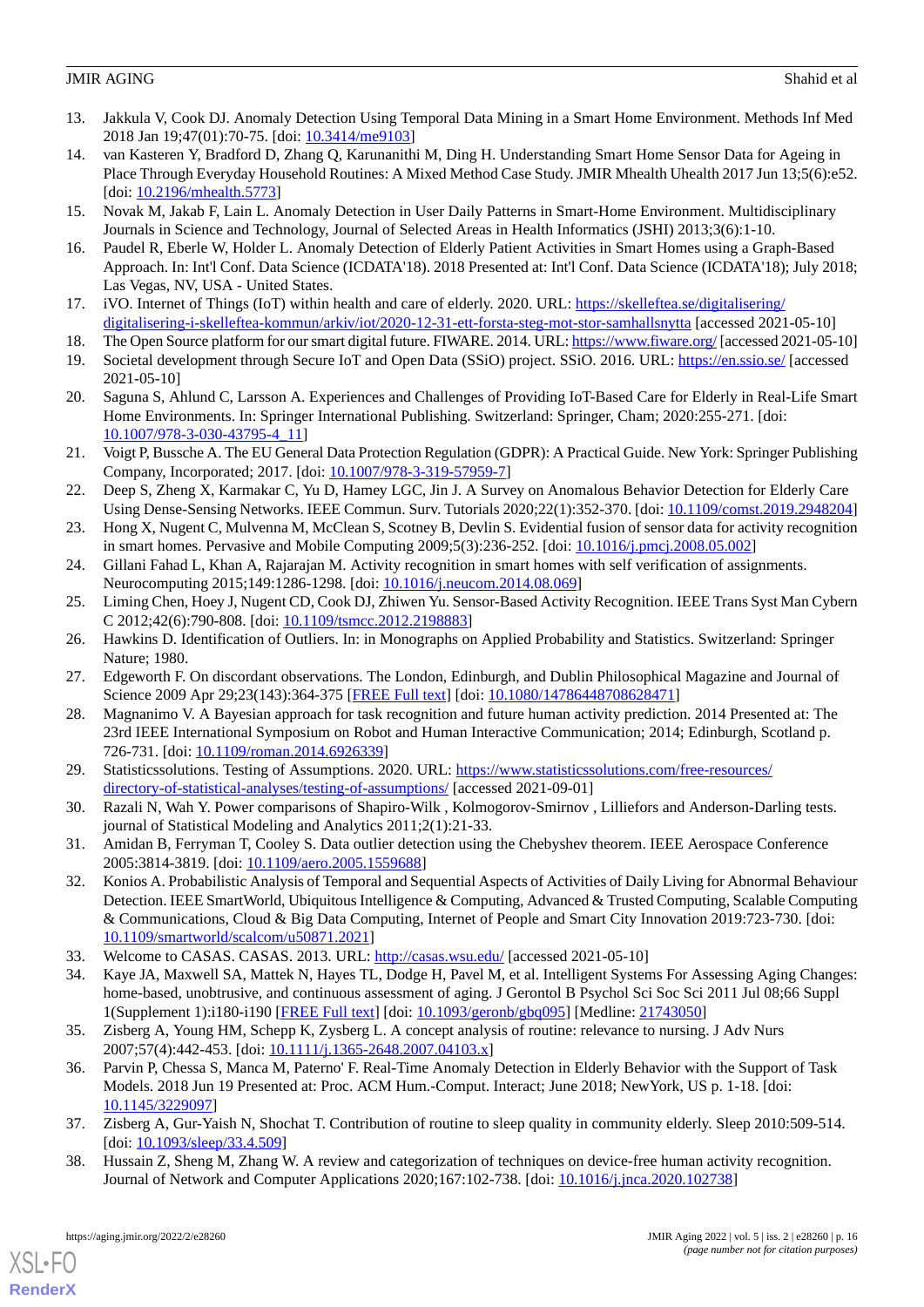- <span id="page-15-17"></span>13. Jakkula V, Cook DJ. Anomaly Detection Using Temporal Data Mining in a Smart Home Environment. Methods Inf Med 2018 Jan 19;47(01):70-75. [doi: [10.3414/me9103](http://dx.doi.org/10.3414/me9103)]
- <span id="page-15-20"></span>14. van Kasteren Y, Bradford D, Zhang Q, Karunanithi M, Ding H. Understanding Smart Home Sensor Data for Ageing in Place Through Everyday Household Routines: A Mixed Method Case Study. JMIR Mhealth Uhealth 2017 Jun 13;5(6):e52. [doi: [10.2196/mhealth.5773\]](http://dx.doi.org/10.2196/mhealth.5773)
- <span id="page-15-1"></span><span id="page-15-0"></span>15. Novak M, Jakab F, Lain L. Anomaly Detection in User Daily Patterns in Smart-Home Environment. Multidisciplinary Journals in Science and Technology, Journal of Selected Areas in Health Informatics (JSHI) 2013;3(6):1-10.
- <span id="page-15-2"></span>16. Paudel R, Eberle W, Holder L. Anomaly Detection of Elderly Patient Activities in Smart Homes using a Graph-Based Approach. In: Int'l Conf. Data Science (ICDATA'18). 2018 Presented at: Int'l Conf. Data Science (ICDATA'18); July 2018; Las Vegas, NV, USA - United States.
- <span id="page-15-3"></span>17. iVO. Internet of Things (IoT) within health and care of elderly. 2020. URL: [https://skelleftea.se/digitalisering/](https://skelleftea.se/digitalisering/digitalisering-i-skelleftea-kommun/arkiv/iot/2020-12-31-ett-forsta-steg-mot-stor-samhallsnytta) [digitalisering-i-skelleftea-kommun/arkiv/iot/2020-12-31-ett-forsta-steg-mot-stor-samhallsnytta](https://skelleftea.se/digitalisering/digitalisering-i-skelleftea-kommun/arkiv/iot/2020-12-31-ett-forsta-steg-mot-stor-samhallsnytta) [accessed 2021-05-10]
- <span id="page-15-4"></span>18. The Open Source platform for our smart digital future. FIWARE. 2014. URL:<https://www.fiware.org/> [accessed 2021-05-10]
- <span id="page-15-5"></span>19. Societal development through Secure IoT and Open Data (SSiO) project. SSiO. 2016. URL:<https://en.ssio.se/> [accessed 2021-05-10]
- <span id="page-15-6"></span>20. Saguna S, Ahlund C, Larsson A. Experiences and Challenges of Providing IoT-Based Care for Elderly in Real-Life Smart Home Environments. In: Springer International Publishing. Switzerland: Springer, Cham; 2020:255-271. [doi: [10.1007/978-3-030-43795-4\\_11](http://dx.doi.org/10.1007/978-3-030-43795-4_11)]
- <span id="page-15-7"></span>21. Voigt P, Bussche A. The EU General Data Protection Regulation (GDPR): A Practical Guide. New York: Springer Publishing Company, Incorporated; 2017. [doi: [10.1007/978-3-319-57959-7\]](http://dx.doi.org/10.1007/978-3-319-57959-7)
- <span id="page-15-8"></span>22. Deep S, Zheng X, Karmakar C, Yu D, Hamey LGC, Jin J. A Survey on Anomalous Behavior Detection for Elderly Care Using Dense-Sensing Networks. IEEE Commun. Surv. Tutorials 2020;22(1):352-370. [doi: [10.1109/comst.2019.2948204](http://dx.doi.org/10.1109/comst.2019.2948204)]
- <span id="page-15-10"></span><span id="page-15-9"></span>23. Hong X, Nugent C, Mulvenna M, McClean S, Scotney B, Devlin S. Evidential fusion of sensor data for activity recognition in smart homes. Pervasive and Mobile Computing 2009;5(3):236-252. [doi: [10.1016/j.pmcj.2008.05.002](http://dx.doi.org/10.1016/j.pmcj.2008.05.002)]
- <span id="page-15-11"></span>24. Gillani Fahad L, Khan A, Rajarajan M. Activity recognition in smart homes with self verification of assignments. Neurocomputing 2015;149:1286-1298. [doi: [10.1016/j.neucom.2014.08.069\]](http://dx.doi.org/10.1016/j.neucom.2014.08.069)
- <span id="page-15-12"></span>25. Liming Chen, Hoey J, Nugent CD, Cook DJ, Zhiwen Yu. Sensor-Based Activity Recognition. IEEE Trans Syst Man Cybern C 2012;42(6):790-808. [doi: [10.1109/tsmcc.2012.2198883](http://dx.doi.org/10.1109/tsmcc.2012.2198883)]
- <span id="page-15-13"></span>26. Hawkins D. Identification of Outliers. In: in Monographs on Applied Probability and Statistics. Switzerland: Springer Nature; 1980.
- <span id="page-15-14"></span>27. Edgeworth F. On discordant observations. The London, Edinburgh, and Dublin Philosophical Magazine and Journal of Science 2009 Apr 29;23(143):364-375 [\[FREE Full text\]](https://doi.org/10.1080/14786448708628471) [doi: [10.1080/14786448708628471\]](http://dx.doi.org/10.1080/14786448708628471)
- <span id="page-15-15"></span>28. Magnanimo V. A Bayesian approach for task recognition and future human activity prediction. 2014 Presented at: The 23rd IEEE International Symposium on Robot and Human Interactive Communication; 2014; Edinburgh, Scotland p. 726-731. [doi: [10.1109/roman.2014.6926339](http://dx.doi.org/10.1109/roman.2014.6926339)]
- <span id="page-15-16"></span>29. Statisticssolutions. Testing of Assumptions. 2020. URL: [https://www.statisticssolutions.com/free-resources/](https://www.statisticssolutions.com/free-resources/directory-of-statistical-analyses/testing-of-assumptions/) [directory-of-statistical-analyses/testing-of-assumptions/](https://www.statisticssolutions.com/free-resources/directory-of-statistical-analyses/testing-of-assumptions/) [accessed 2021-09-01]
- <span id="page-15-18"></span>30. Razali N, Wah Y. Power comparisons of Shapiro-Wilk , Kolmogorov-Smirnov , Lilliefors and Anderson-Darling tests. journal of Statistical Modeling and Analytics 2011;2(1):21-33.
- <span id="page-15-19"></span>31. Amidan B, Ferryman T, Cooley S. Data outlier detection using the Chebyshev theorem. IEEE Aerospace Conference 2005:3814-3819. [doi: [10.1109/aero.2005.1559688\]](http://dx.doi.org/10.1109/aero.2005.1559688)
- <span id="page-15-21"></span>32. Konios A. Probabilistic Analysis of Temporal and Sequential Aspects of Activities of Daily Living for Abnormal Behaviour Detection. IEEE SmartWorld, Ubiquitous Intelligence & Computing, Advanced & Trusted Computing, Scalable Computing & Communications, Cloud & Big Data Computing, Internet of People and Smart City Innovation 2019:723-730. [doi: [10.1109/smartworld/scalcom/u50871.2021](http://dx.doi.org/10.1109/smartworld/scalcom/u50871.2021)]
- <span id="page-15-23"></span><span id="page-15-22"></span>33. Welcome to CASAS. CASAS. 2013. URL: <http://casas.wsu.edu/> [accessed 2021-05-10]
- 34. Kaye JA, Maxwell SA, Mattek N, Hayes TL, Dodge H, Pavel M, et al. Intelligent Systems For Assessing Aging Changes: home-based, unobtrusive, and continuous assessment of aging. J Gerontol B Psychol Sci Soc Sci 2011 Jul 08;66 Suppl 1(Supplement 1):i180-i190 [[FREE Full text](http://europepmc.org/abstract/MED/21743050)] [doi: [10.1093/geronb/gbq095](http://dx.doi.org/10.1093/geronb/gbq095)] [Medline: [21743050](http://www.ncbi.nlm.nih.gov/entrez/query.fcgi?cmd=Retrieve&db=PubMed&list_uids=21743050&dopt=Abstract)]
- <span id="page-15-25"></span><span id="page-15-24"></span>35. Zisberg A, Young HM, Schepp K, Zysberg L. A concept analysis of routine: relevance to nursing. J Adv Nurs 2007;57(4):442-453. [doi: [10.1111/j.1365-2648.2007.04103.x\]](http://dx.doi.org/10.1111/j.1365-2648.2007.04103.x)
- 36. Parvin P, Chessa S, Manca M, Paterno' F. Real-Time Anomaly Detection in Elderly Behavior with the Support of Task Models. 2018 Jun 19 Presented at: Proc. ACM Hum.-Comput. Interact; June 2018; NewYork, US p. 1-18. [doi: [10.1145/3229097\]](http://dx.doi.org/10.1145/3229097)
- 37. Zisberg A, Gur-Yaish N, Shochat T. Contribution of routine to sleep quality in community elderly. Sleep 2010:509-514. [doi: [10.1093/sleep/33.4.509\]](http://dx.doi.org/10.1093/sleep/33.4.509)
- 38. Hussain Z, Sheng M, Zhang W. A review and categorization of techniques on device-free human activity recognition. Journal of Network and Computer Applications 2020;167:102-738. [doi: [10.1016/j.jnca.2020.102738](http://dx.doi.org/10.1016/j.jnca.2020.102738)]